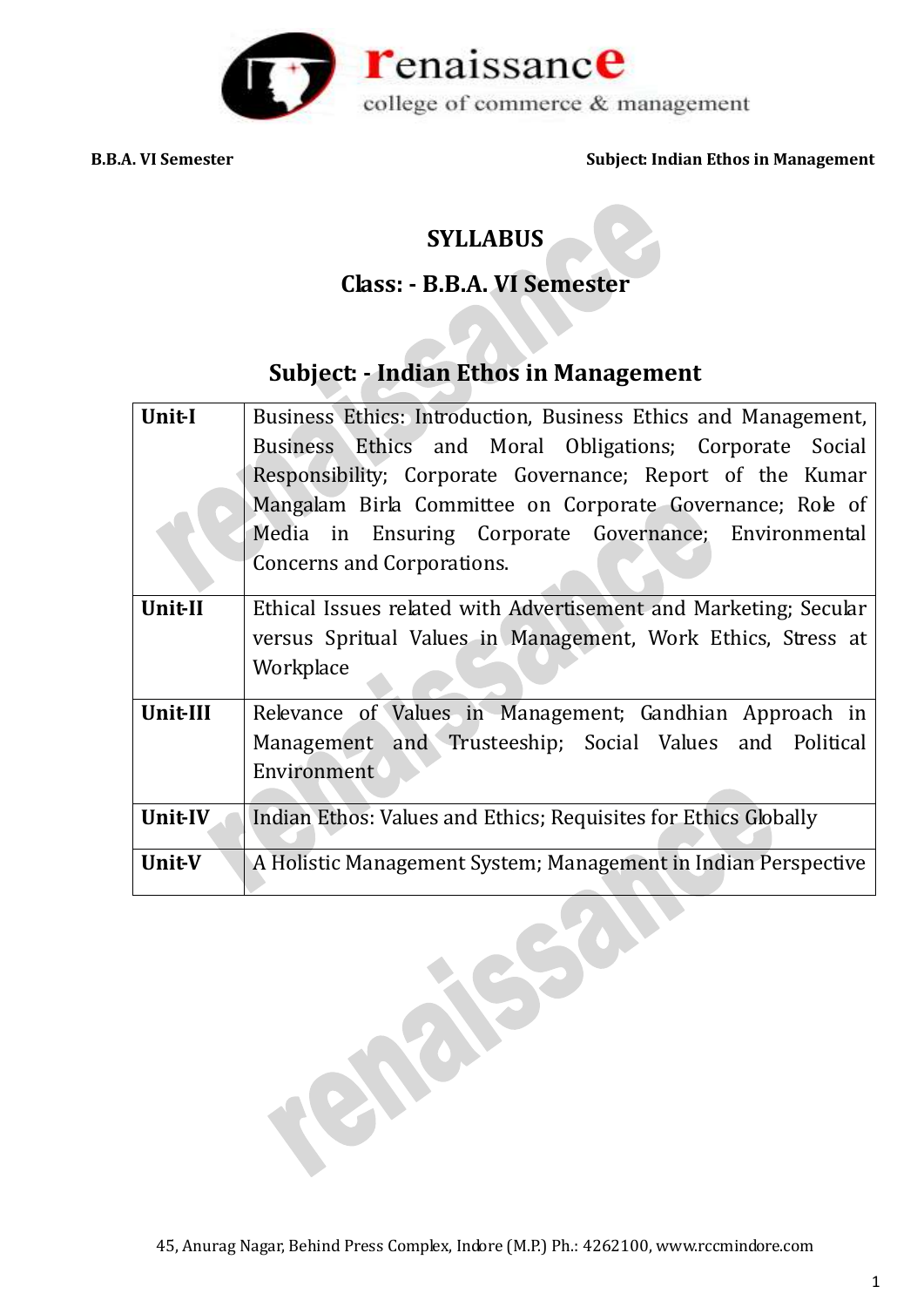

# **SYLLABUS**

# **Class: - B.B.A. VI Semester**

# **Subject: - Indian Ethos in Management**

| Unit-I         | Business Ethics: Introduction, Business Ethics and Management,   |
|----------------|------------------------------------------------------------------|
|                | Business Ethics and Moral Obligations; Corporate Social          |
|                | Responsibility; Corporate Governance; Report of the Kumar        |
|                | Mangalam Birla Committee on Corporate Governance; Role of        |
|                | Media in Ensuring Corporate Governance; Environmental            |
|                | Concerns and Corporations.                                       |
| <b>Unit-II</b> | Ethical Issues related with Advertisement and Marketing; Secular |
|                | versus Spritual Values in Management, Work Ethics, Stress at     |
|                | Workplace                                                        |
| Unit-III       | Relevance of Values in Management; Gandhian Approach in          |
|                | Management and Trusteeship; Social Values and Political          |
|                | Environment                                                      |
| <b>Unit-IV</b> | Indian Ethos: Values and Ethics; Requisites for Ethics Globally  |
| Unit-V         | A Holistic Management System; Management in Indian Perspective   |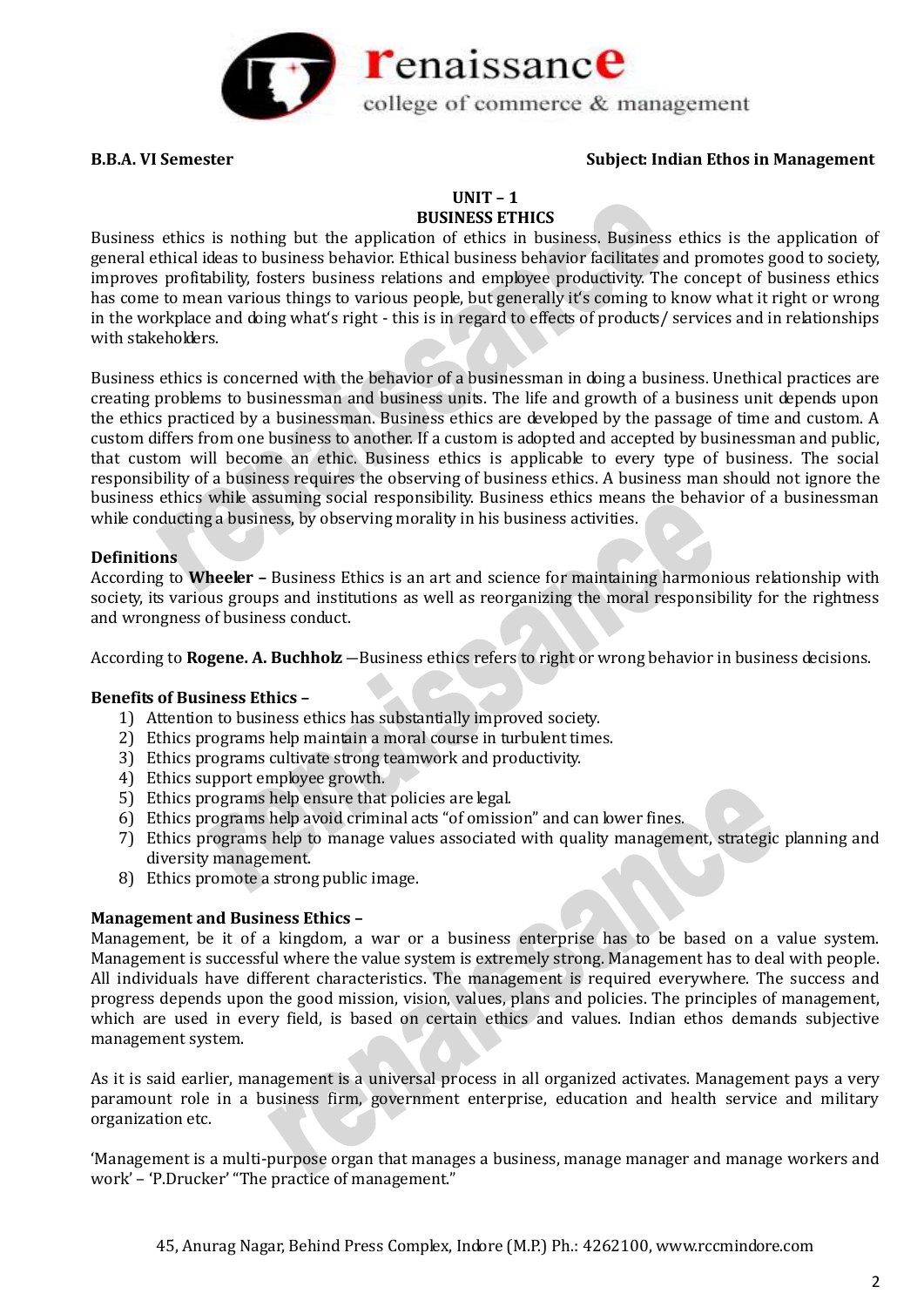

# **UNIT – 1**

### **BUSINESS ETHICS**

Business ethics is nothing but the application of ethics in business. Business ethics is the application of general ethical ideas to business behavior. Ethical business behavior facilitates and promotes good to society, improves profitability, fosters business relations and employee productivity. The concept of business ethics has come to mean various things to various people, but generally it's coming to know what it right or wrong in the workplace and doing what's right - this is in regard to effects of products/ services and in relationships with stakeholders.

Business ethics is concerned with the behavior of a businessman in doing a business. Unethical practices are creating problems to businessman and business units. The life and growth of a business unit depends upon the ethics practiced by a businessman. Business ethics are developed by the passage of time and custom. A custom differs from one business to another. If a custom is adopted and accepted by businessman and public, that custom will become an ethic. Business ethics is applicable to every type of business. The social responsibility of a business requires the observing of business ethics. A business man should not ignore the business ethics while assuming social responsibility. Business ethics means the behavior of a businessman while conducting a business, by observing morality in his business activities.

### **Definitions**

According to **Wheeler –** Business Ethics is an art and science for maintaining harmonious relationship with society, its various groups and institutions as well as reorganizing the moral responsibility for the rightness and wrongness of business conduct.

According to **Rogene. A. Buchholz** –Business ethics refers to right or wrong behavior in business decisions.

# **Benefits of Business Ethics –**

- 1) Attention to business ethics has substantially improved society.
- 2) Ethics programs help maintain a moral course in turbulent times.
- 3) Ethics programs cultivate strong teamwork and productivity.
- 4) Ethics support employee growth.
- 5) Ethics programs help ensure that policies are legal.
- 6) Ethics programs help avoid criminal acts "of omission" and can lower fines.
- 7) Ethics programs help to manage values associated with quality management, strategic planning and diversity management.
- 8) Ethics promote a strong public image.

#### **Management and Business Ethics –**

Management, be it of a kingdom, a war or a business enterprise has to be based on a value system. Management is successful where the value system is extremely strong. Management has to deal with people. All individuals have different characteristics. The management is required everywhere. The success and progress depends upon the good mission, vision, values, plans and policies. The principles of management, which are used in every field, is based on certain ethics and values. Indian ethos demands subjective management system.

As it is said earlier, management is a universal process in all organized activates. Management pays a very paramount role in a business firm, government enterprise, education and health service and military organization etc.

'Management is a multi-purpose organ that manages a business, manage manager and manage workers and work' – 'P.Drucker' "The practice of management."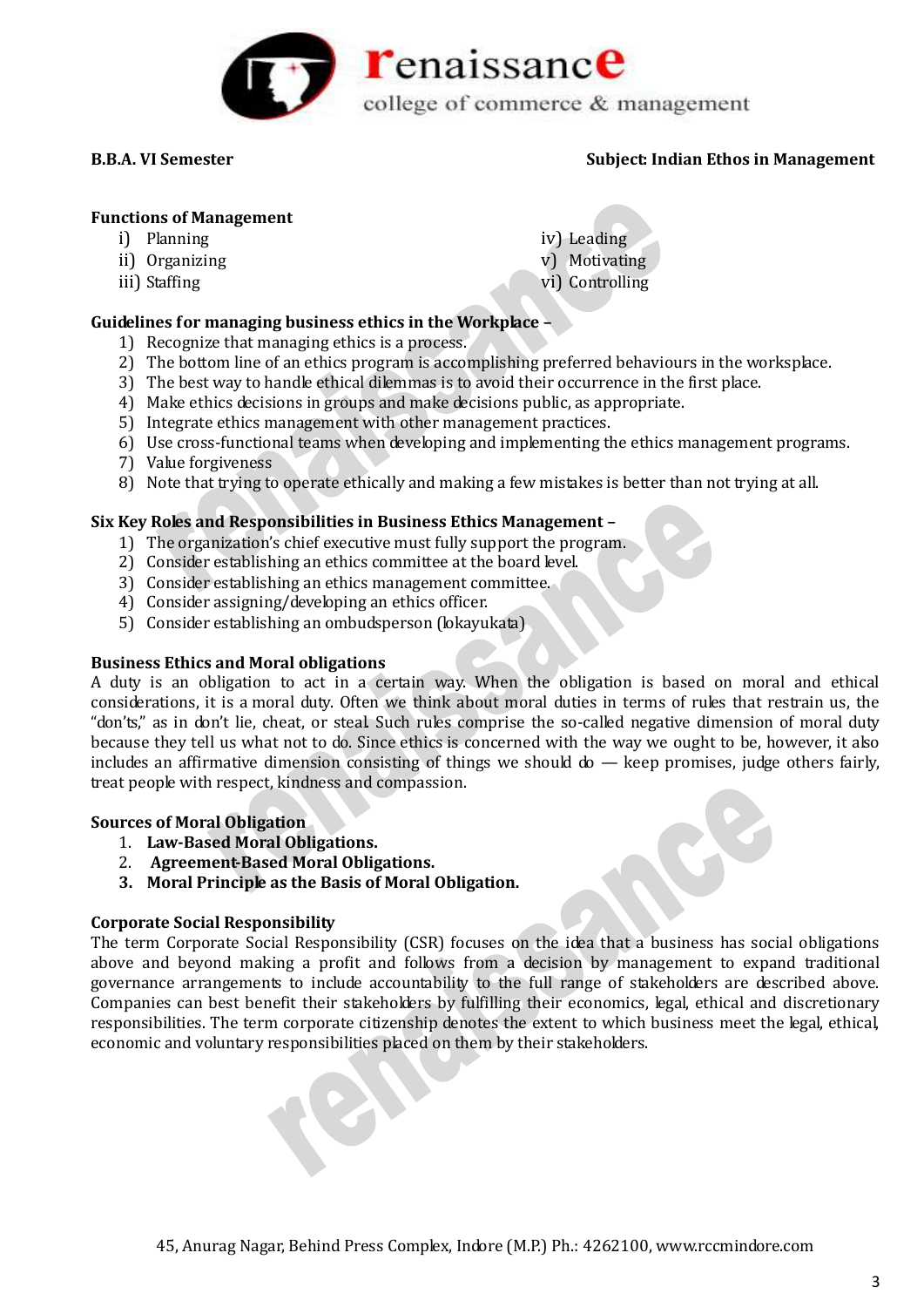

### **Functions of Management**

- i) Planning
- ii) Organizing
- iii) Staffing
- iv) Leading v) Motivating
- vi) Controlling
- **Guidelines for managing business ethics in the Workplace –**
	- 1) Recognize that managing ethics is a process.
	- 2) The bottom line of an ethics program is accomplishing preferred behaviours in the worksplace.
	- 3) The best way to handle ethical dilemmas is to avoid their occurrence in the first place.
	- 4) Make ethics decisions in groups and make decisions public, as appropriate.
	- 5) Integrate ethics management with other management practices.
	- 6) Use cross-functional teams when developing and implementing the ethics management programs.
	- 7) Value forgiveness
	- 8) Note that trying to operate ethically and making a few mistakes is better than not trying at all.

# **Six Key Roles and Responsibilities in Business Ethics Management –**

- 1) The organization's chief executive must fully support the program.
- 2) Consider establishing an ethics committee at the board level.
- 3) Consider establishing an ethics management committee.
- 4) Consider assigning/developing an ethics officer.
- 5) Consider establishing an ombudsperson (lokayukata)

# **Business Ethics and Moral obligations**

A duty is an obligation to act in a certain way. When the obligation is based on moral and ethical considerations, it is a moral duty. Often we think about moral duties in terms of rules that restrain us, the "don'ts," as in don't lie, cheat, or steal. Such rules comprise the so-called negative dimension of moral duty because they tell us what not to do. Since ethics is concerned with the way we ought to be, however, it also includes an affirmative dimension consisting of things we should  $d\sigma$  — keep promises, judge others fairly, treat people with respect, kindness and compassion.

# **Sources of Moral Obligation**

- 1. **Law-Based Moral Obligations.**
- 2. **Agreement-Based Moral Obligations.**
- **3. Moral Principle as the Basis of Moral Obligation.**

# **Corporate Social Responsibility**

The term Corporate Social Responsibility (CSR) focuses on the idea that a business has social obligations above and beyond making a profit and follows from a decision by management to expand traditional governance arrangements to include accountability to the full range of stakeholders are described above. Companies can best benefit their stakeholders by fulfilling their economics, legal, ethical and discretionary responsibilities. The term corporate citizenship denotes the extent to which business meet the legal, ethical, economic and voluntary responsibilities placed on them by their stakeholders.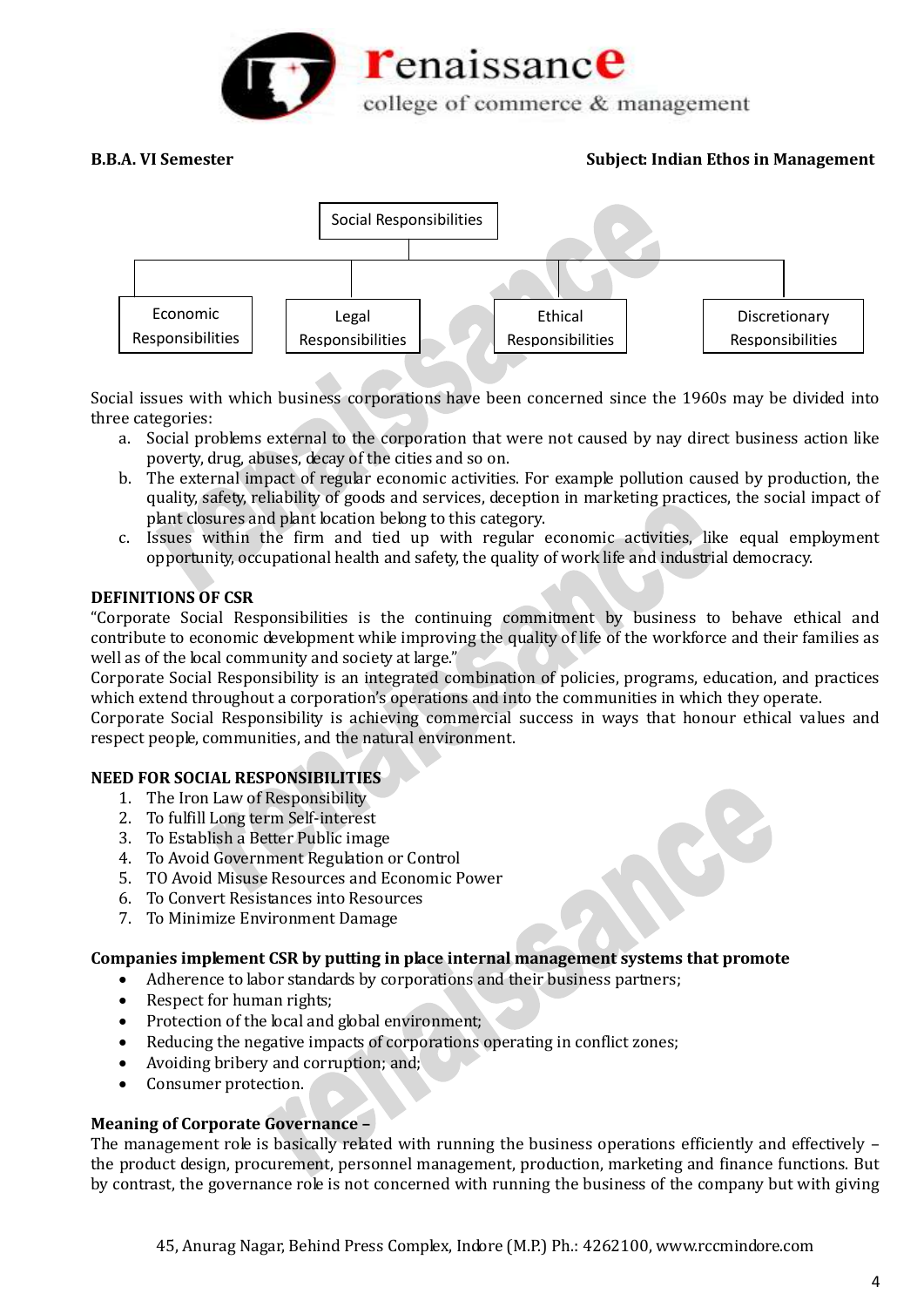



Social issues with which business corporations have been concerned since the 1960s may be divided into three categories:

- a. Social problems external to the corporation that were not caused by nay direct business action like poverty, drug, abuses, decay of the cities and so on.
- b. The external impact of regular economic activities. For example pollution caused by production, the quality, safety, reliability of goods and services, deception in marketing practices, the social impact of plant closures and plant location belong to this category.
- c. Issues within the firm and tied up with regular economic activities, like equal employment opportunity, occupational health and safety, the quality of work life and industrial democracy.

# **DEFINITIONS OF CSR**

"Corporate Social Responsibilities is the continuing commitment by business to behave ethical and contribute to economic development while improving the quality of life of the workforce and their families as well as of the local community and society at large."

Corporate Social Responsibility is an integrated combination of policies, programs, education, and practices which extend throughout a corporation's operations and into the communities in which they operate.

Corporate Social Responsibility is achieving commercial success in ways that honour ethical values and respect people, communities, and the natural environment.

# **NEED FOR SOCIAL RESPONSIBILITIES**

- 1. The Iron Law of Responsibility
- 2. To fulfill Long term Self-interest
- 3. To Establish a Better Public image
- 4. To Avoid Government Regulation or Control
- 5. TO Avoid Misuse Resources and Economic Power
- 6. To Convert Resistances into Resources
- 7. To Minimize Environment Damage

# **Companies implement CSR by putting in place internal management systems that promote**

- Adherence to labor standards by corporations and their business partners;
- Respect for human rights:
- Protection of the local and global environment;
- Reducing the negative impacts of corporations operating in conflict zones;
- Avoiding bribery and corruption; and;
- Consumer protection.

#### **Meaning of Corporate Governance –**

The management role is basically related with running the business operations efficiently and effectively – the product design, procurement, personnel management, production, marketing and finance functions. But by contrast, the governance role is not concerned with running the business of the company but with giving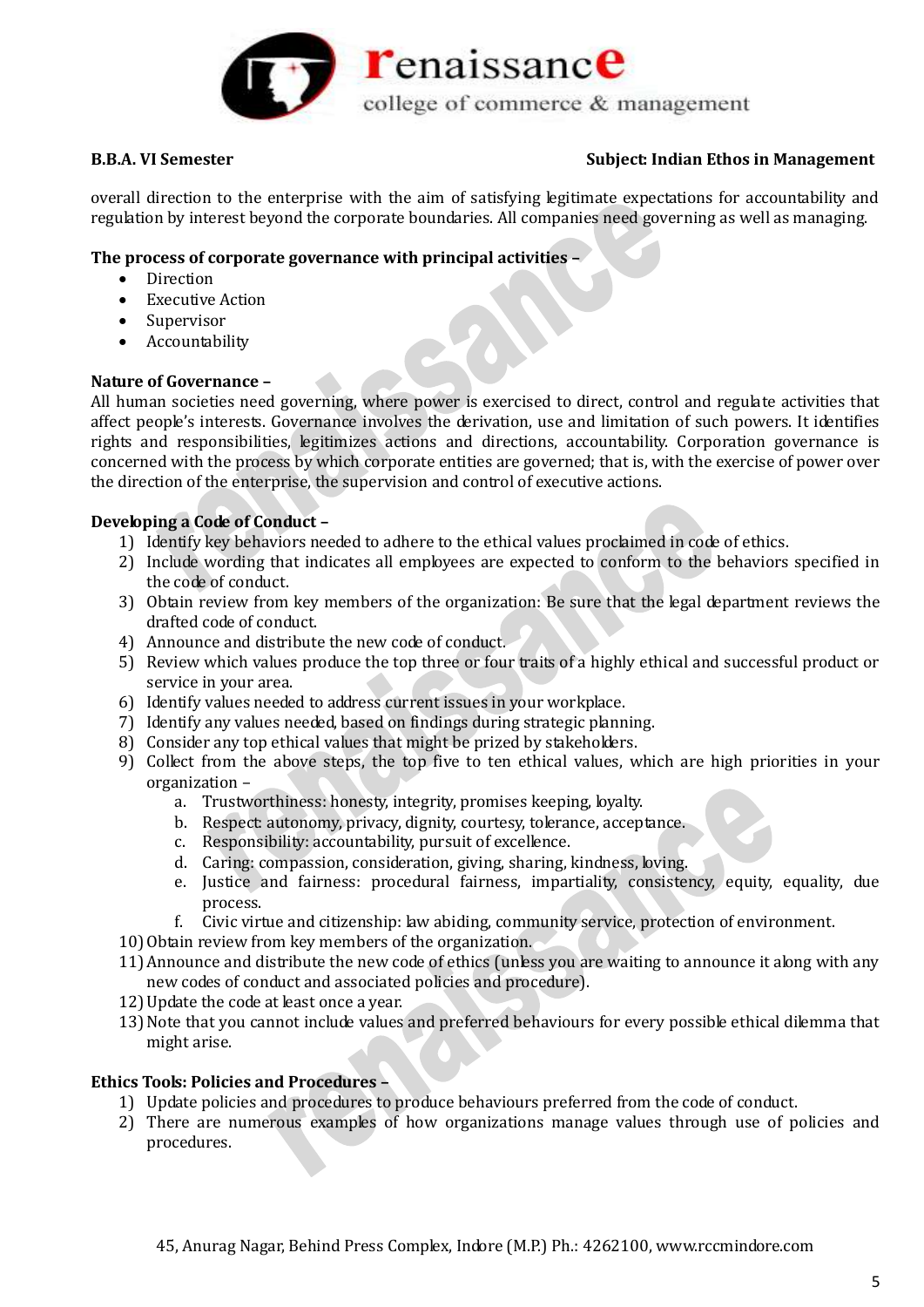

overall direction to the enterprise with the aim of satisfying legitimate expectations for accountability and regulation by interest beyond the corporate boundaries. All companies need governing as well as managing.

# **The process of corporate governance with principal activities –**

- Direction
- Executive Action
- Supervisor
- Accountability

### **Nature of Governance –**

All human societies need governing, where power is exercised to direct, control and regulate activities that affect people's interests. Governance involves the derivation, use and limitation of such powers. It identifies rights and responsibilities, legitimizes actions and directions, accountability. Corporation governance is concerned with the process by which corporate entities are governed; that is, with the exercise of power over the direction of the enterprise, the supervision and control of executive actions.

# **Developing a Code of Conduct –**

- 1) Identify key behaviors needed to adhere to the ethical values proclaimed in code of ethics.
- 2) Include wording that indicates all employees are expected to conform to the behaviors specified in the code of conduct.
- 3) Obtain review from key members of the organization: Be sure that the legal department reviews the drafted code of conduct.
- 4) Announce and distribute the new code of conduct.
- 5) Review which values produce the top three or four traits of a highly ethical and successful product or service in your area.
- 6) Identify values needed to address current issues in your workplace.
- 7) Identify any values needed, based on findings during strategic planning.
- 8) Consider any top ethical values that might be prized by stakeholders.
- 9) Collect from the above steps, the top five to ten ethical values, which are high priorities in your organization –
	- a. Trustworthiness: honesty, integrity, promises keeping, loyalty.
	- b. Respect: autonomy, privacy, dignity, courtesy, tolerance, acceptance.
	- c. Responsibility: accountability, pursuit of excellence.
	- d. Caring: compassion, consideration, giving, sharing, kindness, loving.
	- e. Justice and fairness: procedural fairness, impartiality, consistency, equity, equality, due process.
	- f. Civic virtue and citizenship: law abiding, community service, protection of environment.
- 10) Obtain review from key members of the organization.
- 11)Announce and distribute the new code of ethics (unless you are waiting to announce it along with any new codes of conduct and associated policies and procedure).
- 12)Update the code at least once a year.
- 13)Note that you cannot include values and preferred behaviours for every possible ethical dilemma that might arise.

#### **Ethics Tools: Policies and Procedures –**

- 1) Update policies and procedures to produce behaviours preferred from the code of conduct.
- 2) There are numerous examples of how organizations manage values through use of policies and procedures.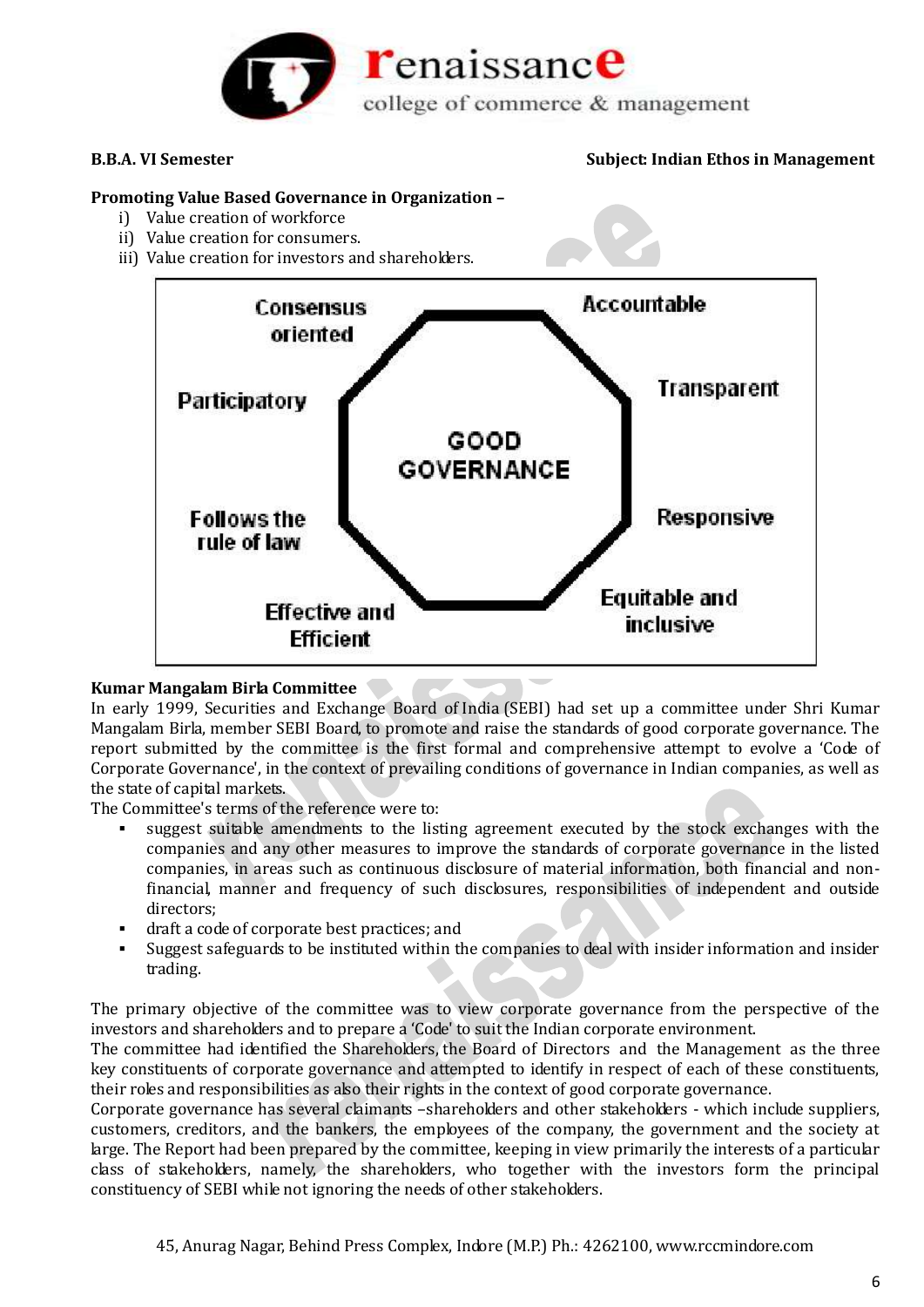

## **Promoting Value Based Governance in Organization –**

- i) Value creation of workforce
- ii) Value creation for consumers.
- iii) Value creation for investors and shareholders.



# **Kumar Mangalam Birla Committee**

In early 1999, Securities and Exchange Board of India (SEBI) had set up a committee under Shri Kumar Mangalam Birla, member SEBI Board, to promote and raise the standards of good corporate governance. The report submitted by the committee is the first formal and comprehensive attempt to evolve a 'Code of Corporate Governance', in the context of prevailing conditions of governance in Indian companies, as well as the state of capital markets.

The Committee's terms of the reference were to:

- suggest suitable amendments to the listing agreement executed by the stock exchanges with the companies and any other measures to improve the standards of corporate governance in the listed companies, in areas such as continuous disclosure of material information, both financial and nonfinancial, manner and frequency of such disclosures, responsibilities of independent and outside directors;
- draft a code of corporate best practices; and
- Suggest safeguards to be instituted within the companies to deal with insider information and insider trading.

The primary objective of the committee was to view corporate governance from the perspective of the investors and shareholders and to prepare a 'Code' to suit the Indian corporate environment.

The committee had identified the Shareholders, the Board of Directors and the Management as the three key constituents of corporate governance and attempted to identify in respect of each of these constituents, their roles and responsibilities as also their rights in the context of good corporate governance.

Corporate governance has several claimants –shareholders and other stakeholders - which include suppliers, customers, creditors, and the bankers, the employees of the company, the government and the society at large. The Report had been prepared by the committee, keeping in view primarily the interests of a particular class of stakeholders, namely, the shareholders, who together with the investors form the principal constituency of SEBI while not ignoring the needs of other stakeholders.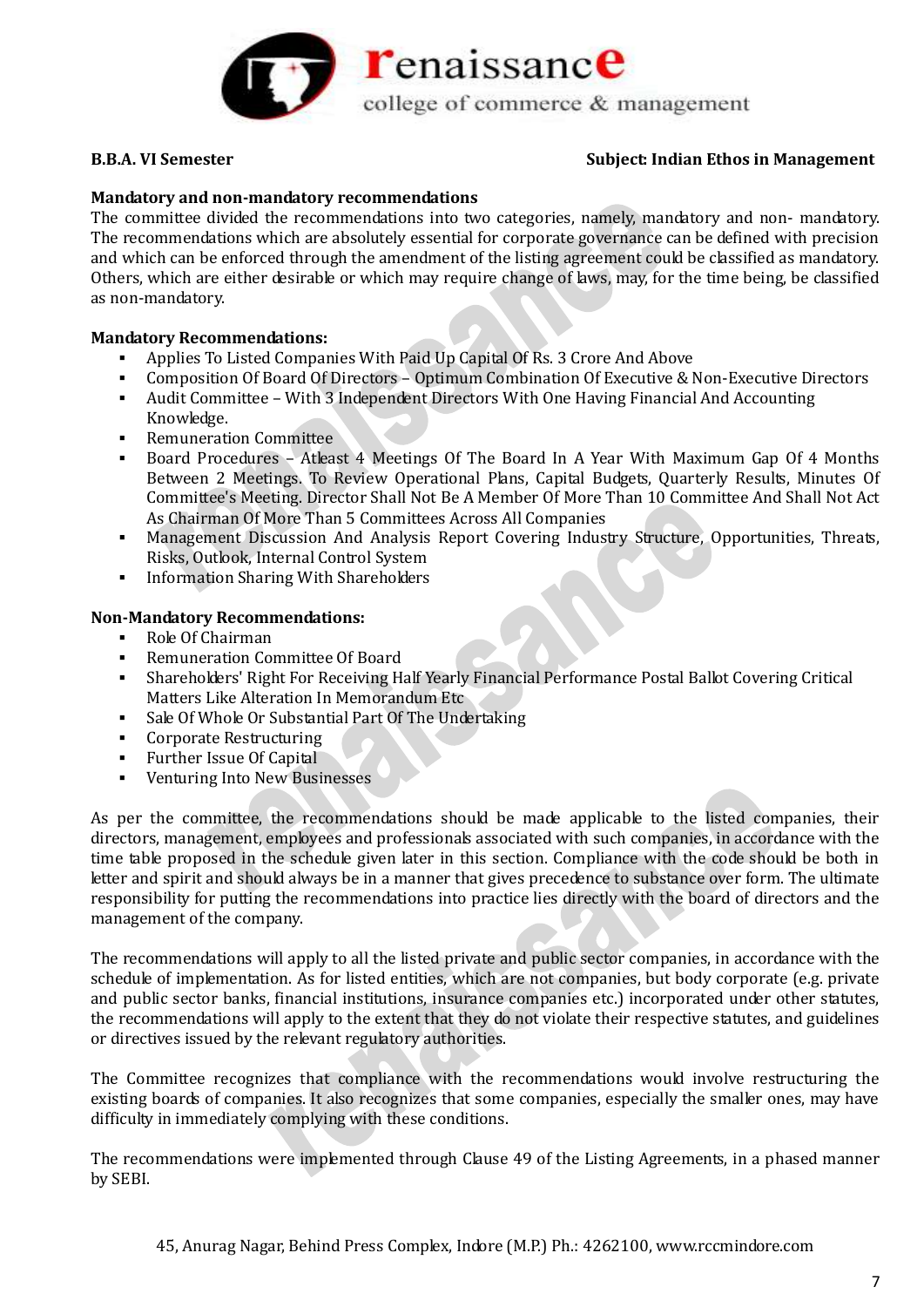

# **Mandatory and non-mandatory recommendations**

The committee divided the recommendations into two categories, namely, mandatory and non- mandatory. The recommendations which are absolutely essential for corporate governance can be defined with precision and which can be enforced through the amendment of the listing agreement could be classified as mandatory. Others, which are either desirable or which may require change of laws, may, for the time being, be classified as non-mandatory.

# **Mandatory Recommendations:**

- Applies To Listed Companies With Paid Up Capital Of Rs. 3 Crore And Above
- Composition Of Board Of Directors Optimum Combination Of Executive & Non-Executive Directors
- Audit Committee With 3 Independent Directors With One Having Financial And Accounting Knowledge.
- Remuneration Committee
- Board Procedures Atleast 4 Meetings Of The Board In A Year With Maximum Gap Of 4 Months Between 2 Meetings. To Review Operational Plans, Capital Budgets, Quarterly Results, Minutes Of Committee's Meeting. Director Shall Not Be A Member Of More Than 10 Committee And Shall Not Act As Chairman Of More Than 5 Committees Across All Companies
- Management Discussion And Analysis Report Covering Industry Structure, Opportunities, Threats, Risks, Outlook, Internal Control System
- **Information Sharing With Shareholders**

# **Non-Mandatory Recommendations:**

- Role Of Chairman
- Remuneration Committee Of Board
- Shareholders' Right For Receiving Half Yearly Financial Performance Postal Ballot Covering Critical Matters Like Alteration In Memorandum Etc
- Sale Of Whole Or Substantial Part Of The Undertaking
- Corporate Restructuring
- Further Issue Of Capital
- Venturing Into New Businesses

As per the committee, the recommendations should be made applicable to the listed companies, their directors, management, employees and professionals associated with such companies, in accordance with the time table proposed in the schedule given later in this section. Compliance with the code should be both in letter and spirit and should always be in a manner that gives precedence to substance over form. The ultimate responsibility for putting the recommendations into practice lies directly with the board of directors and the management of the company.

The recommendations will apply to all the listed private and public sector companies, in accordance with the schedule of implementation. As for listed entities, which are not companies, but body corporate (e.g. private and public sector banks, financial institutions, insurance companies etc.) incorporated under other statutes, the recommendations will apply to the extent that they do not violate their respective statutes, and guidelines or directives issued by the relevant regulatory authorities.

The Committee recognizes that compliance with the recommendations would involve restructuring the existing boards of companies. It also recognizes that some companies, especially the smaller ones, may have difficulty in immediately complying with these conditions.

The recommendations were implemented through Clause 49 of the Listing Agreements, in a phased manner by SEBI.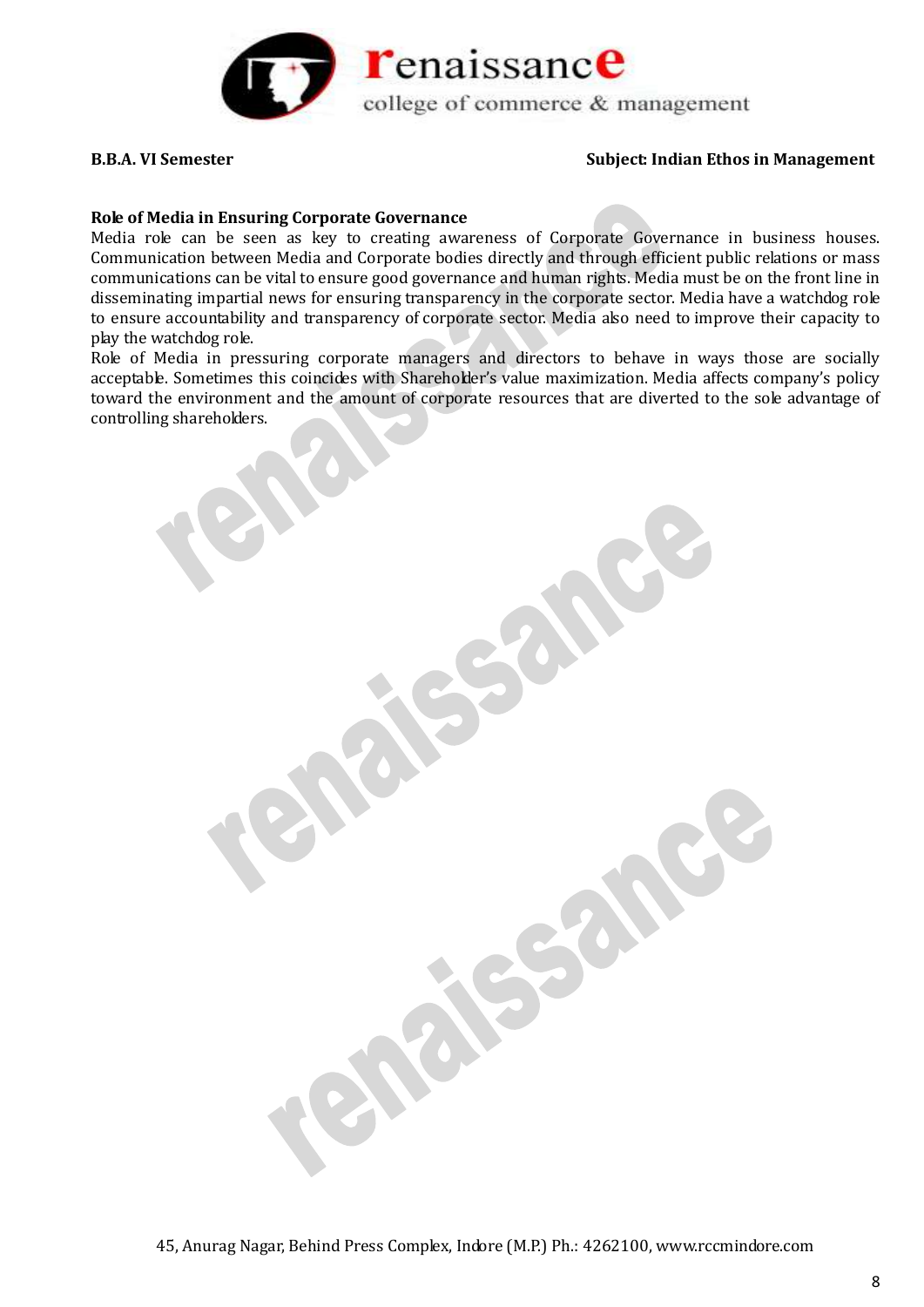

#### **Role of Media in Ensuring Corporate Governance**

Media role can be seen as key to creating awareness of Corporate Governance in business houses. Communication between Media and Corporate bodies directly and through efficient public relations or mass communications can be vital to ensure good governance and human rights. Media must be on the front line in disseminating impartial news for ensuring transparency in the corporate sector. Media have a watchdog role to ensure accountability and transparency of corporate sector. Media also need to improve their capacity to play the watchdog role.

Role of Media in pressuring corporate managers and directors to behave in ways those are socially acceptable. Sometimes this coincides with Shareholder's value maximization. Media affects company's policy toward the environment and the amount of corporate resources that are diverted to the sole advantage of controlling shareholders.

45, Anurag Nagar, Behind Press Complex, Indore (M.P.) Ph.: 4262100, www.rccmindore.com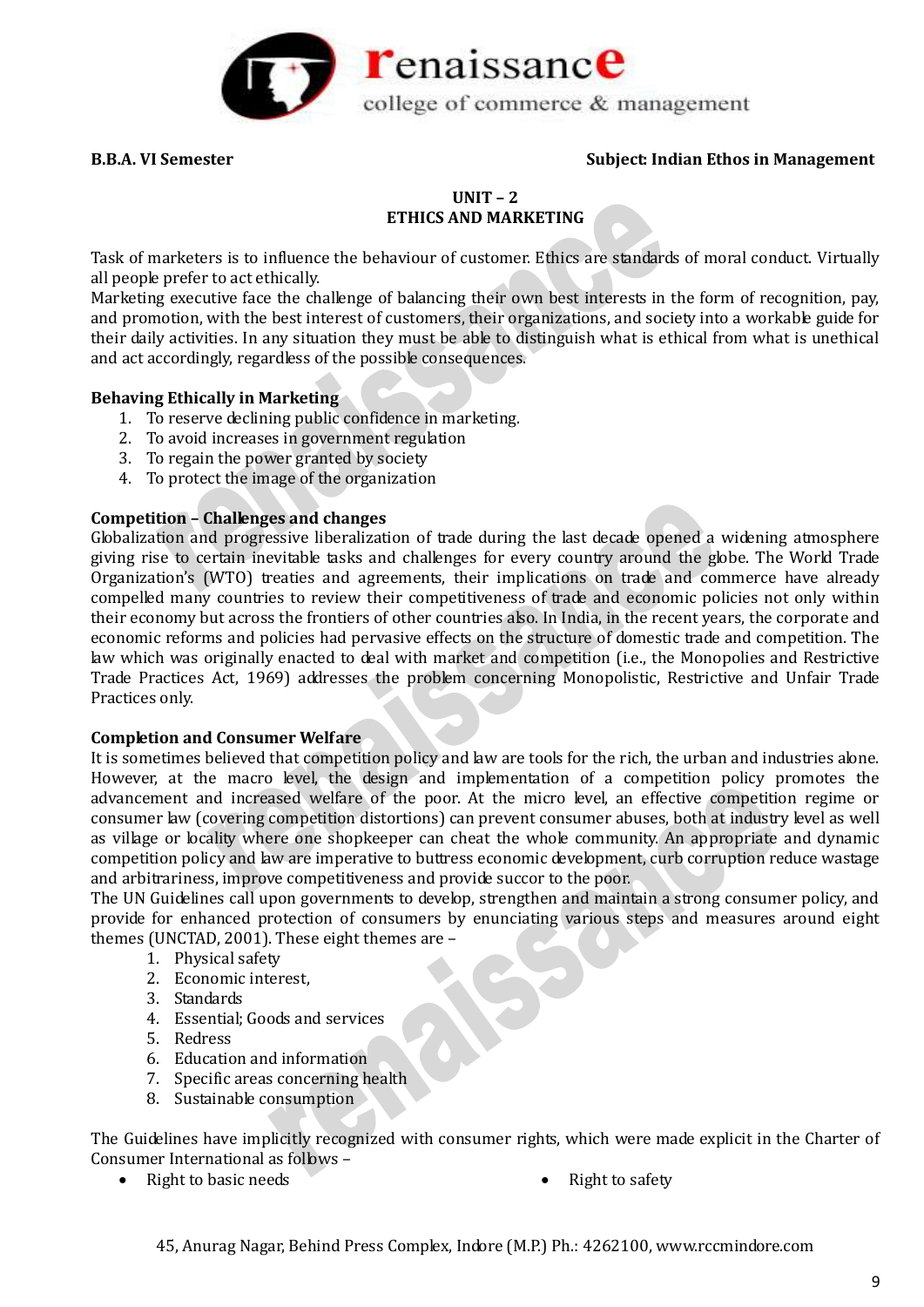

# **UNIT – 2 ETHICS AND MARKETING**

Task of marketers is to influence the behaviour of customer. Ethics are standards of moral conduct. Virtually all people prefer to act ethically.

Marketing executive face the challenge of balancing their own best interests in the form of recognition, pay, and promotion, with the best interest of customers, their organizations, and society into a workable guide for their daily activities. In any situation they must be able to distinguish what is ethical from what is unethical and act accordingly, regardless of the possible consequences.

### **Behaving Ethically in Marketing**

- 1. To reserve declining public confidence in marketing.
- 2. To avoid increases in government regulation
- 3. To regain the power granted by society
- 4. To protect the image of the organization

### **Competition – Challenges and changes**

Globalization and progressive liberalization of trade during the last decade opened a widening atmosphere giving rise to certain inevitable tasks and challenges for every country around the globe. The World Trade Organization's (WTO) treaties and agreements, their implications on trade and commerce have already compelled many countries to review their competitiveness of trade and economic policies not only within their economy but across the frontiers of other countries also. In India, in the recent years, the corporate and economic reforms and policies had pervasive effects on the structure of domestic trade and competition. The law which was originally enacted to deal with market and competition (i.e., the Monopolies and Restrictive Trade Practices Act, 1969) addresses the problem concerning Monopolistic, Restrictive and Unfair Trade Practices only.

#### **Completion and Consumer Welfare**

It is sometimes believed that competition policy and law are tools for the rich, the urban and industries alone. However, at the macro level, the design and implementation of a competition policy promotes the advancement and increased welfare of the poor. At the micro level, an effective competition regime or consumer law (covering competition distortions) can prevent consumer abuses, both at industry level as well as village or locality where one shopkeeper can cheat the whole community. An appropriate and dynamic competition policy and law are imperative to buttress economic development, curb corruption reduce wastage and arbitrariness, improve competitiveness and provide succor to the poor.

The UN Guidelines call upon governments to develop, strengthen and maintain a strong consumer policy, and provide for enhanced protection of consumers by enunciating various steps and measures around eight themes (UNCTAD, 2001). These eight themes are –

- 1. Physical safety
- 2. Economic interest,
- 3. Standards
- 4. Essential; Goods and services
- 5. Redress
- 6. Education and information
- 7. Specific areas concerning health
- 8. Sustainable consumption

The Guidelines have implicitly recognized with consumer rights, which were made explicit in the Charter of Consumer International as follows –

- Right to basic needs **Right to safety Right to safety** 
	-

45, Anurag Nagar, Behind Press Complex, Indore (M.P.) Ph.: 4262100, www.rccmindore.com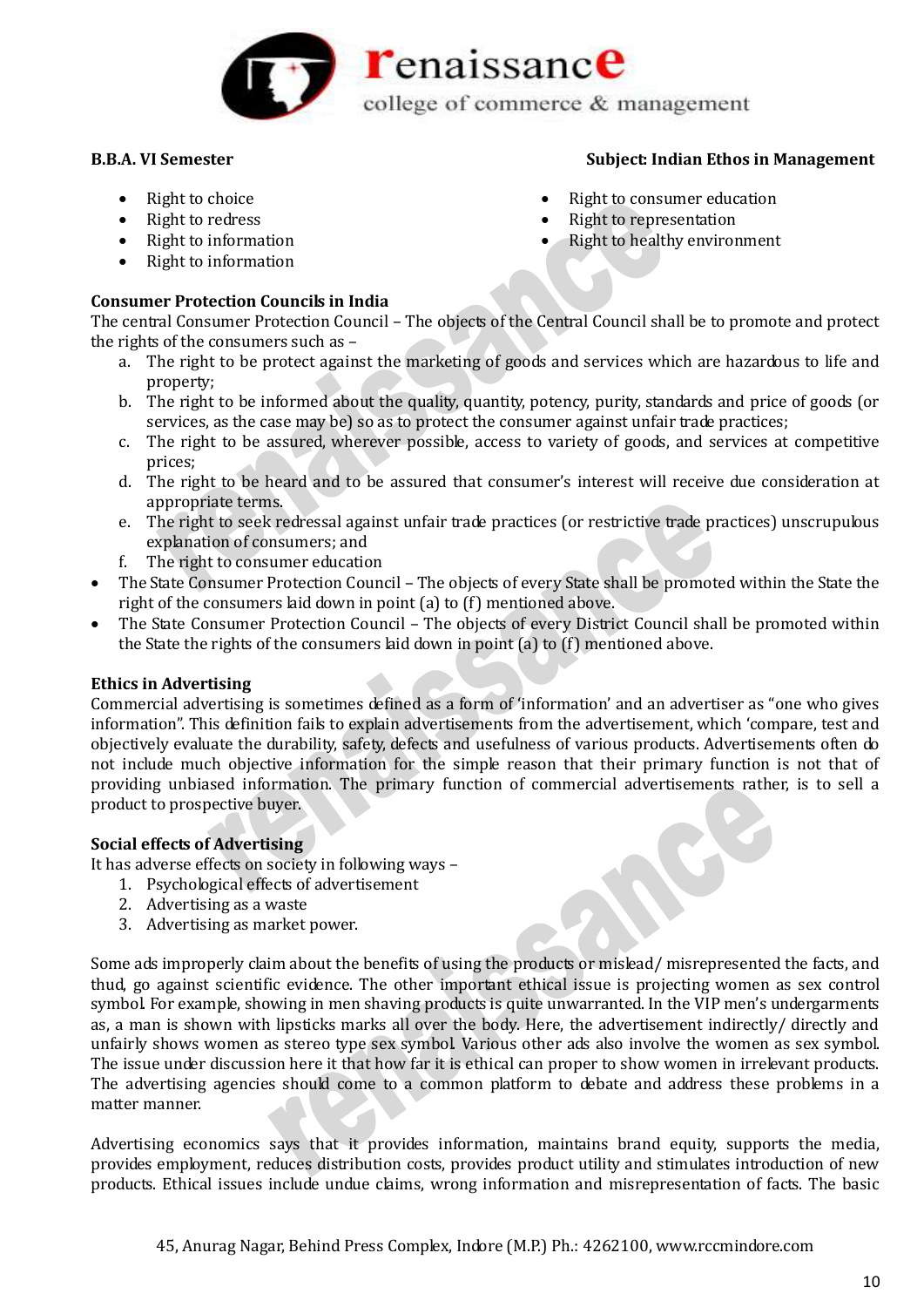

# Right to choice

- Right to redress
- Right to information
- Right to information

# **Consumer Protection Councils in India**

The central Consumer Protection Council – The objects of the Central Council shall be to promote and protect the rights of the consumers such as –

- a. The right to be protect against the marketing of goods and services which are hazardous to life and property;
- b. The right to be informed about the quality, quantity, potency, purity, standards and price of goods (or services, as the case may be) so as to protect the consumer against unfair trade practices;
- c. The right to be assured, wherever possible, access to variety of goods, and services at competitive prices;
- d. The right to be heard and to be assured that consumer's interest will receive due consideration at appropriate terms.
- e. The right to seek redressal against unfair trade practices (or restrictive trade practices) unscrupulous explanation of consumers; and
- f. The right to consumer education
- The State Consumer Protection Council The objects of every State shall be promoted within the State the right of the consumers laid down in point (a) to (f) mentioned above.
- The State Consumer Protection Council The objects of every District Council shall be promoted within the State the rights of the consumers laid down in point (a) to (f) mentioned above.

# **Ethics in Advertising**

Commercial advertising is sometimes defined as a form of 'information' and an advertiser as "one who gives information". This definition fails to explain advertisements from the advertisement, which 'compare, test and objectively evaluate the durability, safety, defects and usefulness of various products. Advertisements often do not include much objective information for the simple reason that their primary function is not that of providing unbiased information. The primary function of commercial advertisements rather, is to sell a product to prospective buyer.

# **Social effects of Advertising**

It has adverse effects on society in following ways –

- 1. Psychological effects of advertisement
- 2. Advertising as a waste
- 3. Advertising as market power.

Some ads improperly claim about the benefits of using the products or mislead/ misrepresented the facts, and thud, go against scientific evidence. The other important ethical issue is projecting women as sex control symbol. For example, showing in men shaving products is quite unwarranted. In the VIP men's undergarments as, a man is shown with lipsticks marks all over the body. Here, the advertisement indirectly/ directly and unfairly shows women as stereo type sex symbol. Various other ads also involve the women as sex symbol. The issue under discussion here it that how far it is ethical can proper to show women in irrelevant products. The advertising agencies should come to a common platform to debate and address these problems in a matter manner.

Advertising economics says that it provides information, maintains brand equity, supports the media, provides employment, reduces distribution costs, provides product utility and stimulates introduction of new products. Ethical issues include undue claims, wrong information and misrepresentation of facts. The basic

# **B.B.A. VI Semester Subject: Indian Ethos in Management**

- Right to consumer education
- Right to representation
- Right to healthy environment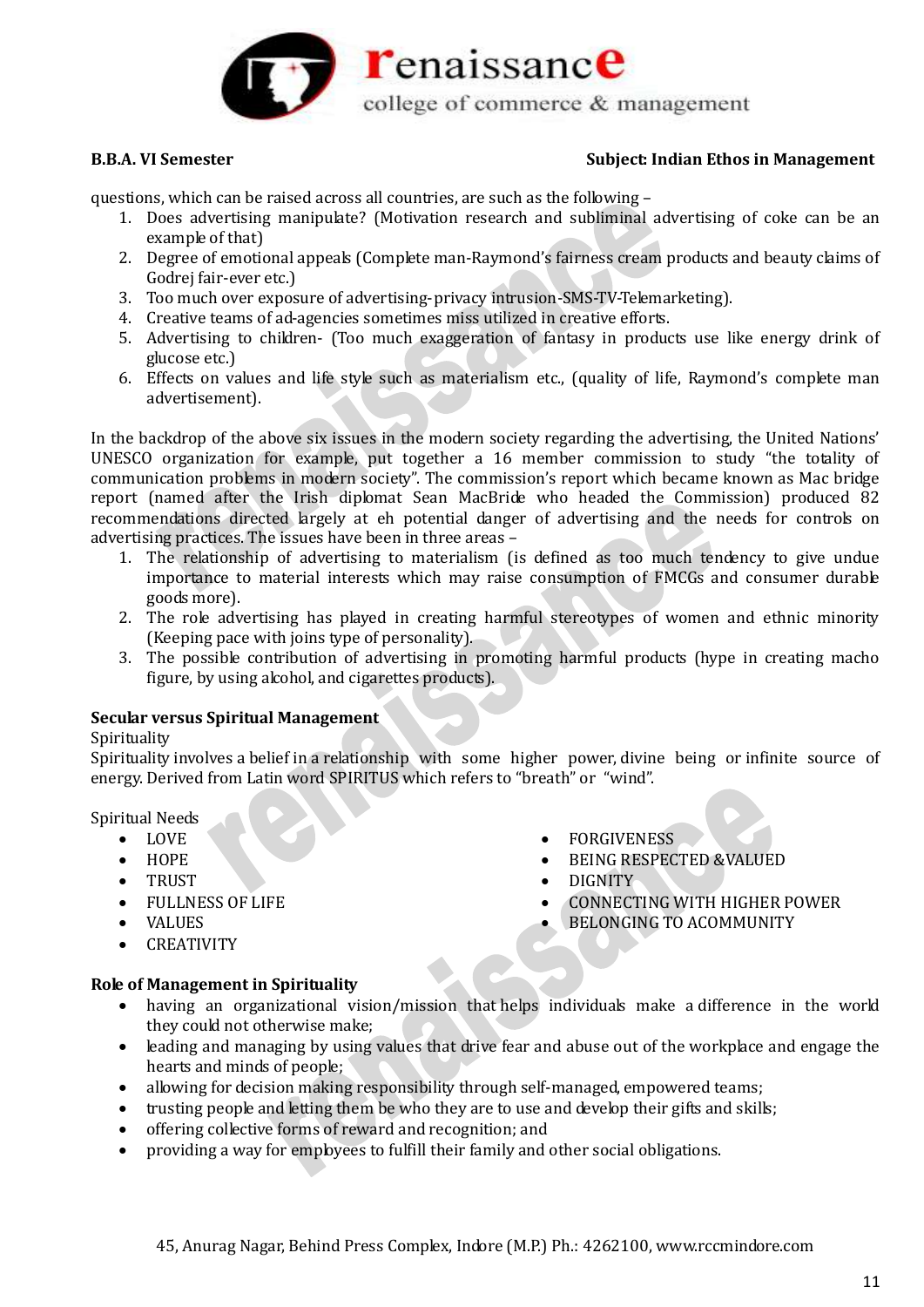

questions, which can be raised across all countries, are such as the following –

- 1. Does advertising manipulate? (Motivation research and subliminal advertising of coke can be an example of that)
- 2. Degree of emotional appeals (Complete man-Raymond's fairness cream products and beauty claims of Godrej fair-ever etc.)
- 3. Too much over exposure of advertising-privacy intrusion-SMS-TV-Telemarketing).
- 4. Creative teams of ad-agencies sometimes miss utilized in creative efforts.
- 5. Advertising to children- (Too much exaggeration of fantasy in products use like energy drink of glucose etc.)
- 6. Effects on values and life style such as materialism etc., (quality of life, Raymond's complete man advertisement).

In the backdrop of the above six issues in the modern society regarding the advertising, the United Nations' UNESCO organization for example, put together a 16 member commission to study "the totality of communication problems in modern society". The commission's report which became known as Mac bridge report (named after the Irish diplomat Sean MacBride who headed the Commission) produced 82 recommendations directed largely at eh potential danger of advertising and the needs for controls on advertising practices. The issues have been in three areas –

- 1. The relationship of advertising to materialism (is defined as too much tendency to give undue importance to material interests which may raise consumption of FMCGs and consumer durable goods more).
- 2. The role advertising has played in creating harmful stereotypes of women and ethnic minority (Keeping pace with joins type of personality).
- 3. The possible contribution of advertising in promoting harmful products (hype in creating macho figure, by using alcohol, and cigarettes products).

#### **Secular versus Spiritual Management**

#### Spirituality

Spirituality involves a belief in a relationship with some higher power, divine being or infinite source of energy. Derived from Latin word SPIRITUS which refers to "breath" or "wind".

FORGIVENESS

DIGNITY

BEING RESPECTED &VALUED

BELONGING TO ACOMMUNITY

CONNECTING WITH HIGHER POWER

#### Spiritual Needs

- LOVE
- $\bullet$  HOPE
- TRUST
- FULLNESS OF LIFE
- VALUES
- CREATIVITY

# **Role of Management in Spirituality**

- having an organizational vision/mission that helps individuals make a difference in the world they could not otherwise make;
- leading and managing by using values that drive fear and abuse out of the workplace and engage the hearts and minds of people;
- allowing for decision making responsibility through self-managed, empowered teams;
- trusting people and letting them be who they are to use and develop their gifts and skills;
- offering collective forms of reward and recognition; and
- providing a way for employees to fulfill their family and other social obligations.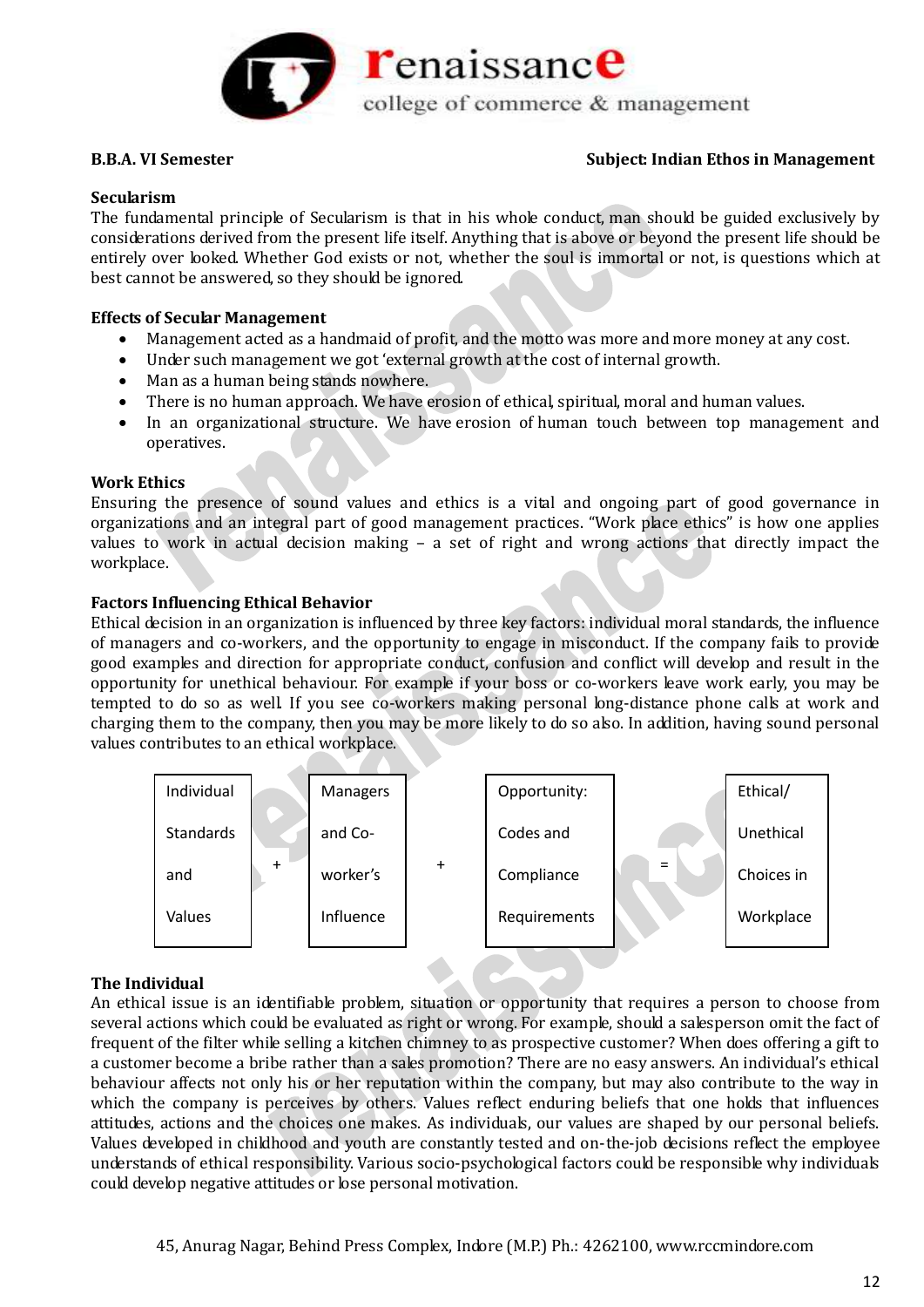

#### **Secularism**

The fundamental principle of Secularism is that in his whole conduct, man should be guided exclusively by considerations derived from the present life itself. Anything that is above or beyond the present life should be entirely over looked. Whether God exists or not, whether the soul is immortal or not, is questions which at best cannot be answered, so they should be ignored.

#### **Effects of Secular Management**

- Management acted as a handmaid of profit, and the motto was more and more money at any cost.
- Under such management we got 'external growth at the cost of internal growth.
- Man as a human being stands nowhere.
- There is no human approach. We have erosion of ethical, spiritual, moral and human values.
- In an organizational structure. We have erosion of human touch between top management and operatives.

#### **Work Ethics**

Ensuring the presence of sound values and ethics is a vital and ongoing part of good governance in organizations and an integral part of good management practices. "Work place ethics" is how one applies values to work in actual decision making – a set of right and wrong actions that directly impact the workplace.

### **Factors Influencing Ethical Behavior**

Ethical decision in an organization is influenced by three key factors: individual moral standards, the influence of managers and co-workers, and the opportunity to engage in misconduct. If the company fails to provide good examples and direction for appropriate conduct, confusion and conflict will develop and result in the opportunity for unethical behaviour. For example if your boss or co-workers leave work early, you may be tempted to do so as well. If you see co-workers making personal long-distance phone calls at work and charging them to the company, then you may be more likely to do so also. In addition, having sound personal values contributes to an ethical workplace.



# **The Individual**

An ethical issue is an identifiable problem, situation or opportunity that requires a person to choose from several actions which could be evaluated as right or wrong. For example, should a salesperson omit the fact of frequent of the filter while selling a kitchen chimney to as prospective customer? When does offering a gift to a customer become a bribe rather than a sales promotion? There are no easy answers. An individual's ethical behaviour affects not only his or her reputation within the company, but may also contribute to the way in which the company is perceives by others. Values reflect enduring beliefs that one holds that influences attitudes, actions and the choices one makes. As individuals, our values are shaped by our personal beliefs. Values developed in childhood and youth are constantly tested and on-the-job decisions reflect the employee understands of ethical responsibility. Various socio-psychological factors could be responsible why individuals could develop negative attitudes or lose personal motivation.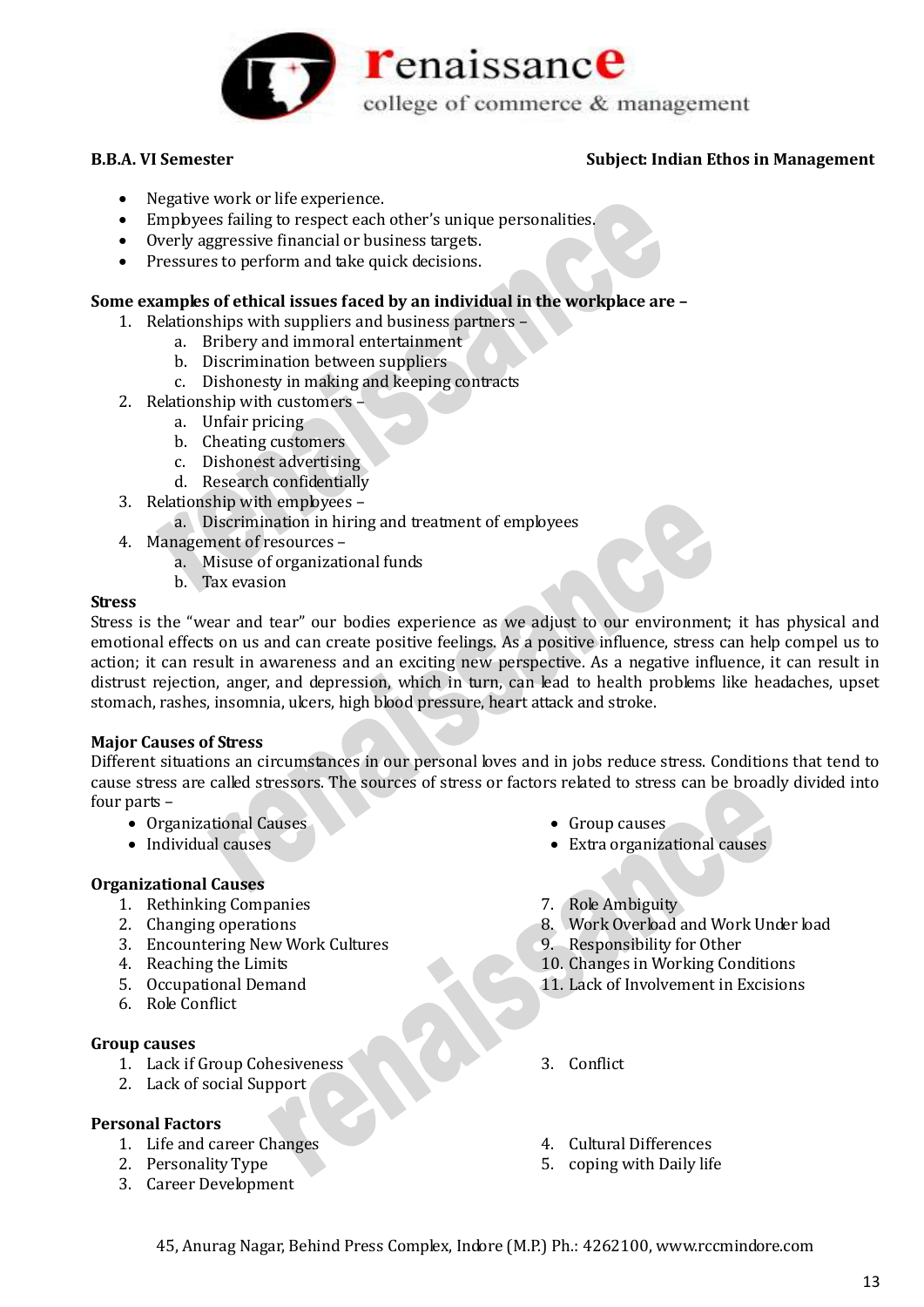

- Negative work or life experience.
- Employees failing to respect each other's unique personalities.
- Overly aggressive financial or business targets.
- Pressures to perform and take quick decisions.

## **Some examples of ethical issues faced by an individual in the workplace are –**

- 1. Relationships with suppliers and business partners
	- a. Bribery and immoral entertainment
	- b. Discrimination between suppliers
	- c. Dishonesty in making and keeping contracts
- 2. Relationship with customers
	- a. Unfair pricing
	- b. Cheating customers
	- c. Dishonest advertising
	- d. Research confidentially
- 3. Relationship with employees
	- a. Discrimination in hiring and treatment of employees
- 4. Management of resources
	- a. Misuse of organizational funds
	- b. Tax evasion

#### **Stress**

Stress is the "wear and tear" our bodies experience as we adjust to our environment; it has physical and emotional effects on us and can create positive feelings. As a positive influence, stress can help compel us to action; it can result in awareness and an exciting new perspective. As a negative influence, it can result in distrust rejection, anger, and depression, which in turn, can lead to health problems like headaches, upset stomach, rashes, insomnia, ulcers, high blood pressure, heart attack and stroke.

#### **Major Causes of Stress**

Different situations an circumstances in our personal loves and in jobs reduce stress. Conditions that tend to cause stress are called stressors. The sources of stress or factors related to stress can be broadly divided into four parts –

- Organizational Causes
- Individual causes

# **Organizational Causes**

- 1. Rethinking Companies
- 2. Changing operations
- 3. Encountering New Work Cultures
- 4. Reaching the Limits
- 5. Occupational Demand
- 6. Role Conflict

#### **Group causes**

- 1. Lack if Group Cohesiveness
- 2. Lack of social Support

# **Personal Factors**

- 1. Life and career Changes
- 2. Personality Type
- 3. Career Development
- Group causes
- Extra organizational causes
- 7. Role Ambiguity
- 8. Work Overload and Work Under load
- 9. Responsibility for Other
- 10. Changes in Working Conditions
- 11. Lack of Involvement in Excisions
- 3. Conflict
- 4. Cultural Differences
- 5. coping with Daily life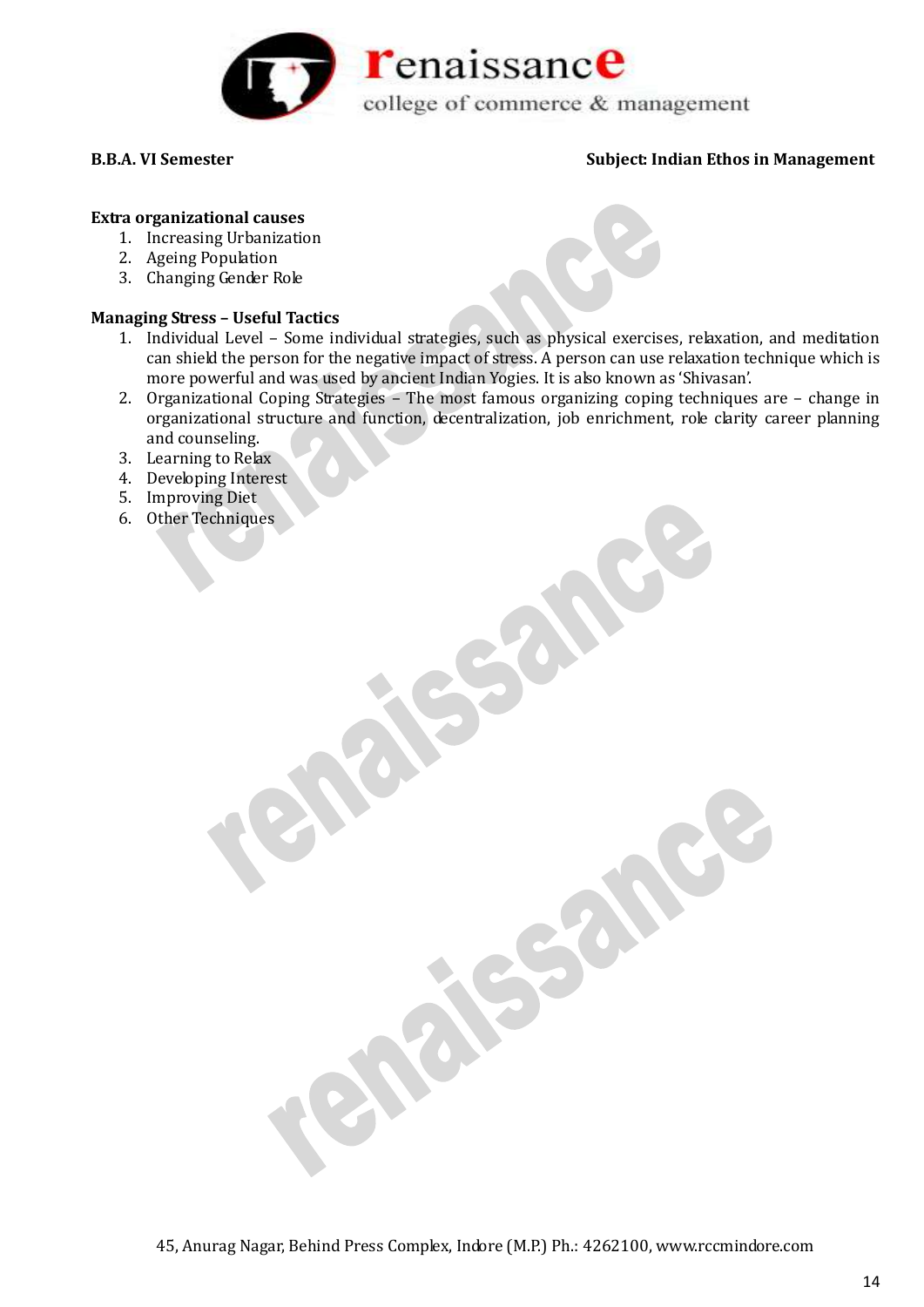

# **Extra organizational causes**

- 1. Increasing Urbanization
- 2. Ageing Population
- 3. Changing Gender Role

# **Managing Stress – Useful Tactics**

- 1. Individual Level Some individual strategies, such as physical exercises, relaxation, and meditation can shield the person for the negative impact of stress. A person can use relaxation technique which is more powerful and was used by ancient Indian Yogies. It is also known as 'Shivasan'.
- 2. Organizational Coping Strategies The most famous organizing coping techniques are change in organizational structure and function, decentralization, job enrichment, role clarity career planning and counseling.
- 3. Learning to Relax
- 4. Developing Interest
- 5. Improving Diet
- 6. Other Techniques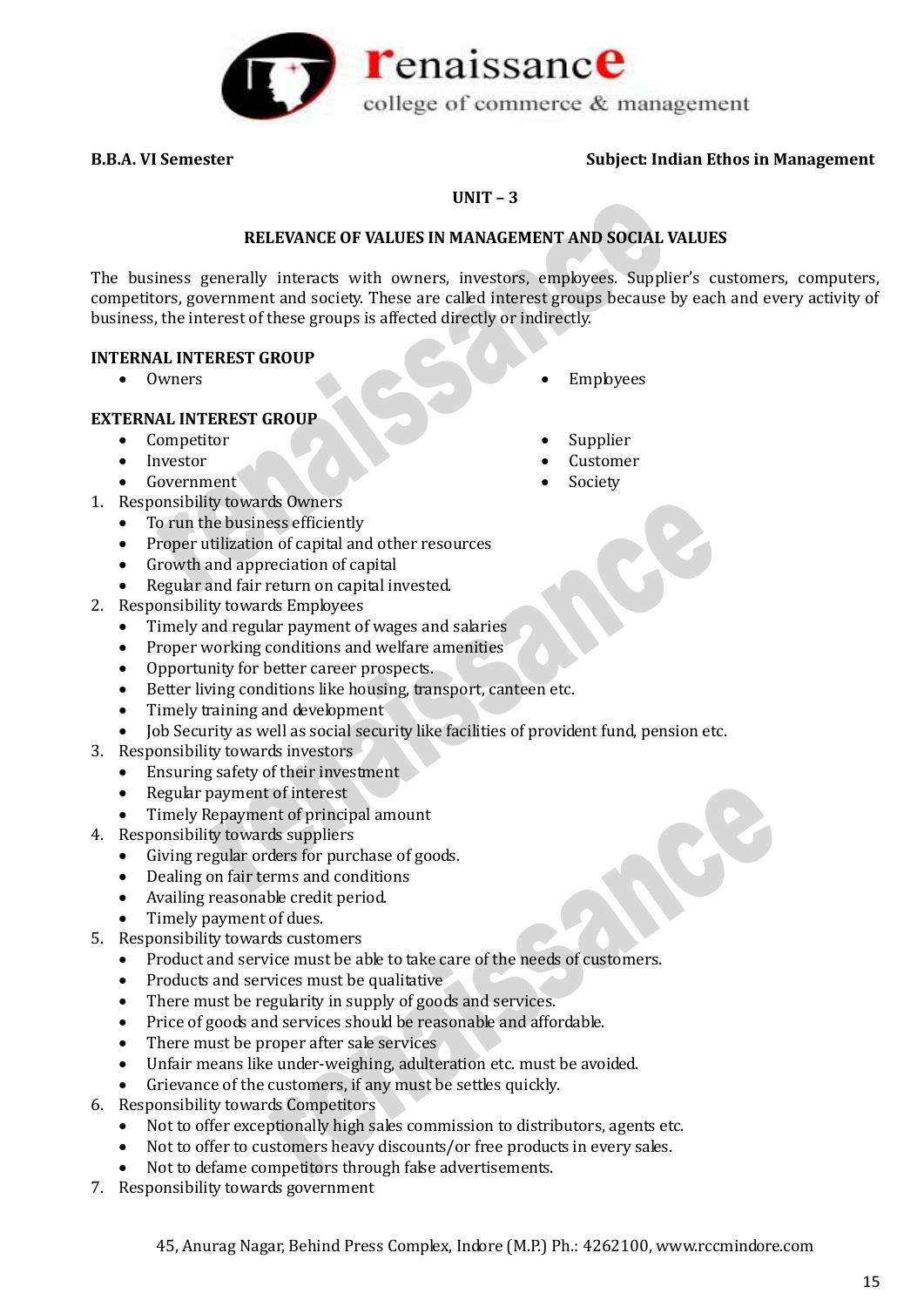

### **UNIT – 3**

# **RELEVANCE OF VALUES IN MANAGEMENT AND SOCIAL VALUES**

The business generally interacts with owners, investors, employees. Supplier's customers, computers, competitors, government and society. These are called interest groups because by each and every activity of business, the interest of these groups is affected directly or indirectly.

### **INTERNAL INTEREST GROUP**

• Owners • Employees

### **EXTERNAL INTEREST GROUP**

- Competitor
- Investor
- Government
- 1. Responsibility towards Owners
	- To run the business efficiently
	- Proper utilization of capital and other resources
	- Growth and appreciation of capital
	- Regular and fair return on capital invested.
- 2. Responsibility towards Employees
	- Timely and regular payment of wages and salaries
	- Proper working conditions and welfare amenities
	- Opportunity for better career prospects.
	- Better living conditions like housing, transport, canteen etc.
	- Timely training and development
	- Job Security as well as social security like facilities of provident fund, pension etc.
- 3. Responsibility towards investors
	- Ensuring safety of their investment
	- Regular payment of interest
	- Timely Repayment of principal amount
- 4. Responsibility towards suppliers
	- Giving regular orders for purchase of goods.
	- Dealing on fair terms and conditions
	- Availing reasonable credit period.
	- Timely payment of dues.
- 5. Responsibility towards customers
	- Product and service must be able to take care of the needs of customers.
	- Products and services must be qualitative
	- There must be regularity in supply of goods and services.
	- Price of goods and services should be reasonable and affordable.
	- There must be proper after sale services
	- Unfair means like under-weighing, adulteration etc. must be avoided.
	- Grievance of the customers, if any must be settles quickly.
- 6. Responsibility towards Competitors
	- Not to offer exceptionally high sales commission to distributors, agents etc.
	- Not to offer to customers heavy discounts/or free products in every sales.
	- Not to defame competitors through false advertisements.
- 7. Responsibility towards government
	- 45, Anurag Nagar, Behind Press Complex, Indore (M.P.) Ph.: 4262100, www.rccmindore.com
- Supplier
- Customer
- Society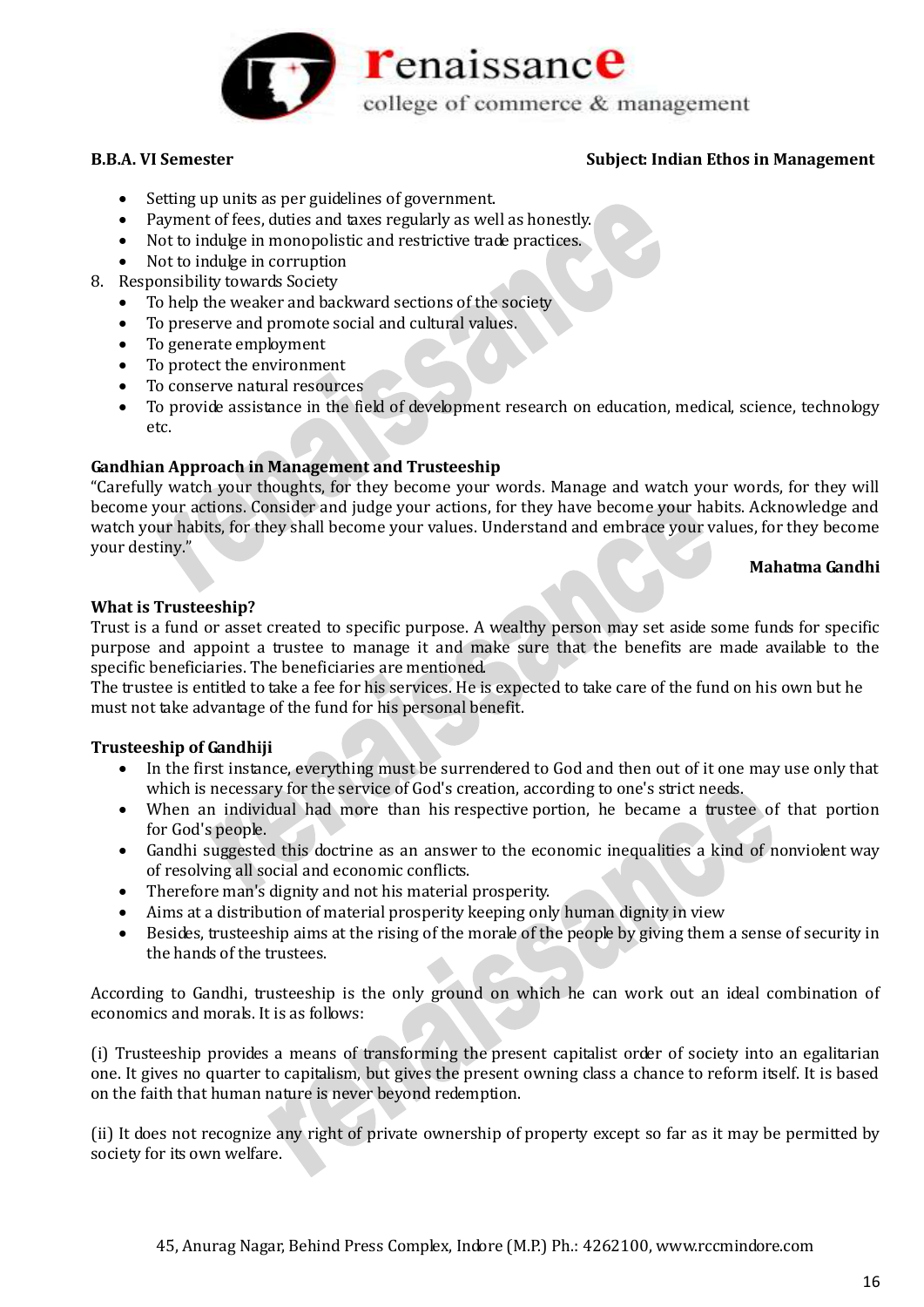

- Setting up units as per guidelines of government.
- Payment of fees, duties and taxes regularly as well as honestly.
- Not to indulge in monopolistic and restrictive trade practices.
- Not to indulge in corruption
- 8. Responsibility towards Society
	- To help the weaker and backward sections of the society
	- To preserve and promote social and cultural values.
	- To generate employment
	- To protect the environment
	- To conserve natural resources
	- To provide assistance in the field of development research on education, medical, science, technology etc.

# **Gandhian Approach in Management and Trusteeship**

"Carefully watch your thoughts, for they become your words. Manage and watch your words, for they will become your actions. Consider and judge your actions, for they have become your habits. Acknowledge and watch your habits, for they shall become your values. Understand and embrace your values, for they become your destiny."

### **Mahatma Gandhi**

# **What is Trusteeship?**

Trust is a fund or asset created to specific purpose. A wealthy person may set aside some funds for specific purpose and appoint a trustee to manage it and make sure that the benefits are made available to the specific beneficiaries. The beneficiaries are mentioned.

The trustee is entitled to take a fee for his services. He is expected to take care of the fund on his own but he must not take advantage of the fund for his personal benefit.

# **Trusteeship of Gandhiji**

- In the first instance, everything must be surrendered to God and then out of it one may use only that which is necessary for the service of God's creation, according to one's strict needs.
- When an individual had more than his respective portion, he became a trustee of that portion for God's people.
- Gandhi suggested this doctrine as an answer to the economic inequalities a kind of nonviolent way of resolving all social and economic conflicts.
- Therefore man's dignity and not his material prosperity.
- Aims at a distribution of material prosperity keeping only human dignity in view
- Besides, trusteeship aims at the rising of the morale of the people by giving them a sense of security in the hands of the trustees.

According to Gandhi, trusteeship is the only ground on which he can work out an ideal combination of economics and morals. It is as follows:

(i) Trusteeship provides a means of transforming the present capitalist order of society into an egalitarian one. It gives no quarter to capitalism, but gives the present owning class a chance to reform itself. It is based on the faith that human nature is never beyond redemption.

(ii) It does not recognize any right of private ownership of property except so far as it may be permitted by society for its own welfare.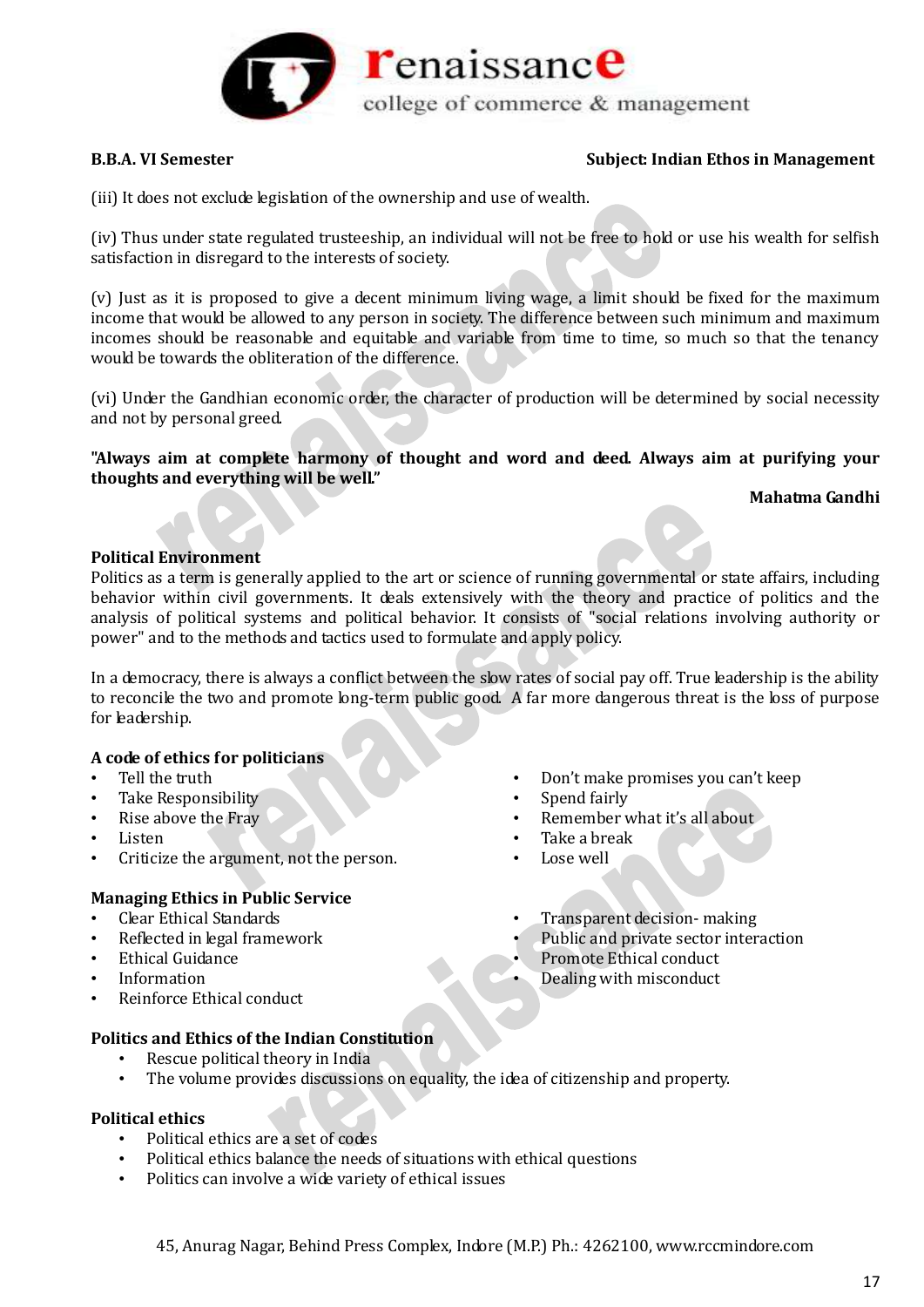

(iii) It does not exclude legislation of the ownership and use of wealth.

(iv) Thus under state regulated trusteeship, an individual will not be free to hold or use his wealth for selfish satisfaction in disregard to the interests of society.

(v) Just as it is proposed to give a decent minimum living wage, a limit should be fixed for the maximum income that would be allowed to any person in society. The difference between such minimum and maximum incomes should be reasonable and equitable and variable from time to time, so much so that the tenancy would be towards the obliteration of the difference.

(vi) Under the Gandhian economic order, the character of production will be determined by social necessity and not by personal greed.

**"Always aim at complete harmony of thought and word and deed. Always aim at purifying your thoughts and everything will be well."**

### **Mahatma Gandhi**

# **Political Environment**

Politics as a term is generally applied to the art or science of running governmental or state affairs, including behavior within civil governments. It deals extensively with the theory and practice of politics and the analysis of political systems and political behavior. It consists of "social relations involving authority or power" and to the methods and tactics used to formulate and apply policy.

In a democracy, there is always a conflict between the slow rates of social pay off. True leadership is the ability to reconcile the two and promote long-term public good. A far more dangerous threat is the loss of purpose for leadership.

# **A code of ethics for politicians**

- Tell the truth
- Take Responsibility
- Rise above the Fray
- Listen
- Criticize the argument, not the person.

# **Managing Ethics in Public Service**

- Clear Ethical Standards
- Reflected in legal framework
- Ethical Guidance
- Information
- Reinforce Ethical conduct

# **Politics and Ethics of the Indian Constitution**

- Rescue political theory in India
- The volume provides discussions on equality, the idea of citizenship and property.

# **Political ethics**

- Political ethics are a set of codes
- Political ethics balance the needs of situations with ethical questions
- Politics can involve a wide variety of ethical issues
- Don't make promises you can't keep
- Spend fairly
- Remember what it's all about
- Take a break
- Lose well
- Transparent decision- making
- Public and private sector interaction
- Promote Ethical conduct
- Dealing with misconduct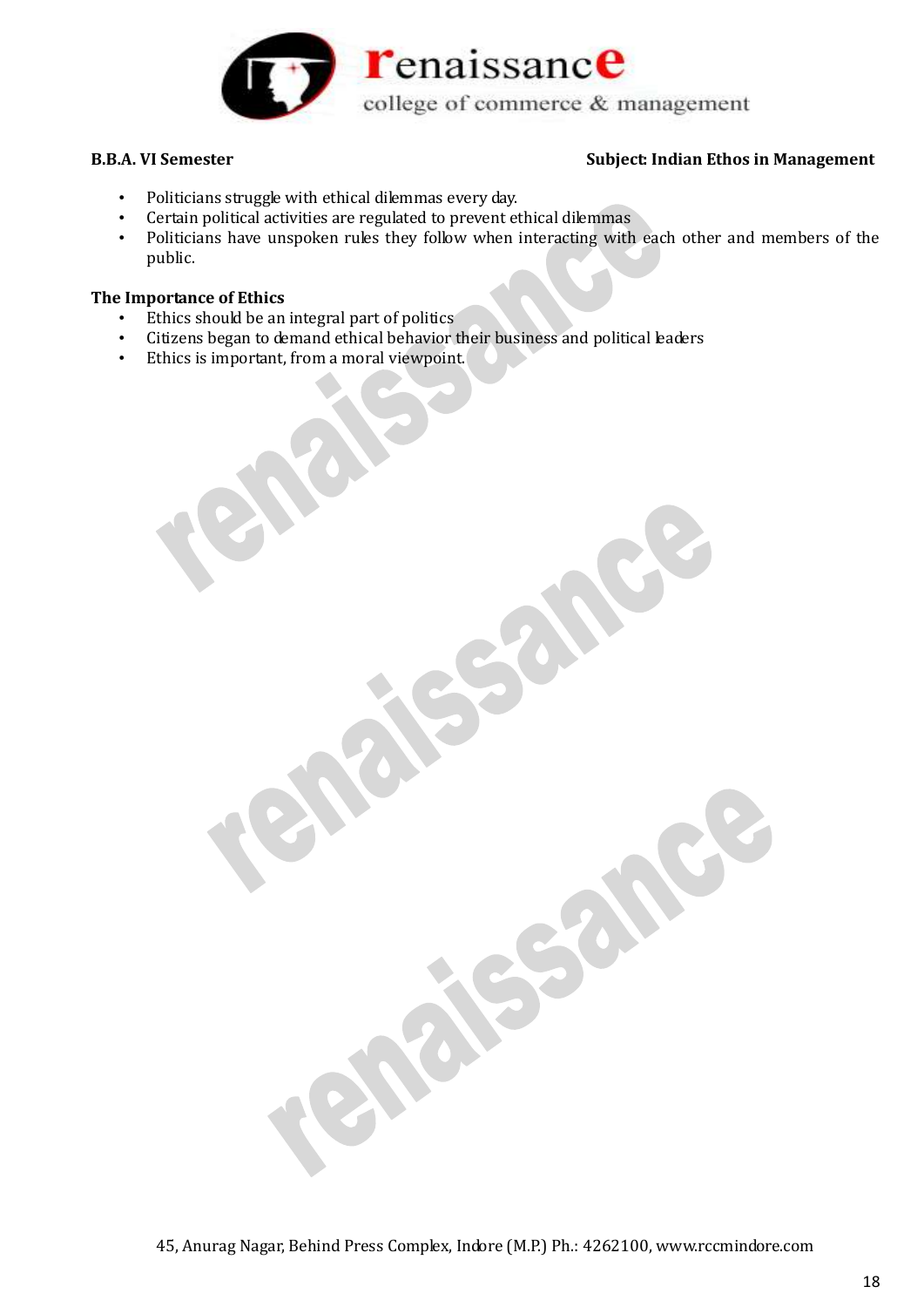

- Politicians struggle with ethical dilemmas every day.
- Certain political activities are regulated to prevent ethical dilemmas
- Politicians have unspoken rules they follow when interacting with each other and members of the public.

# **The Importance of Ethics**

- Ethics should be an integral part of politics
- Citizens began to demand ethical behavior their business and political leaders
- Ethics is important, from a moral viewpoint.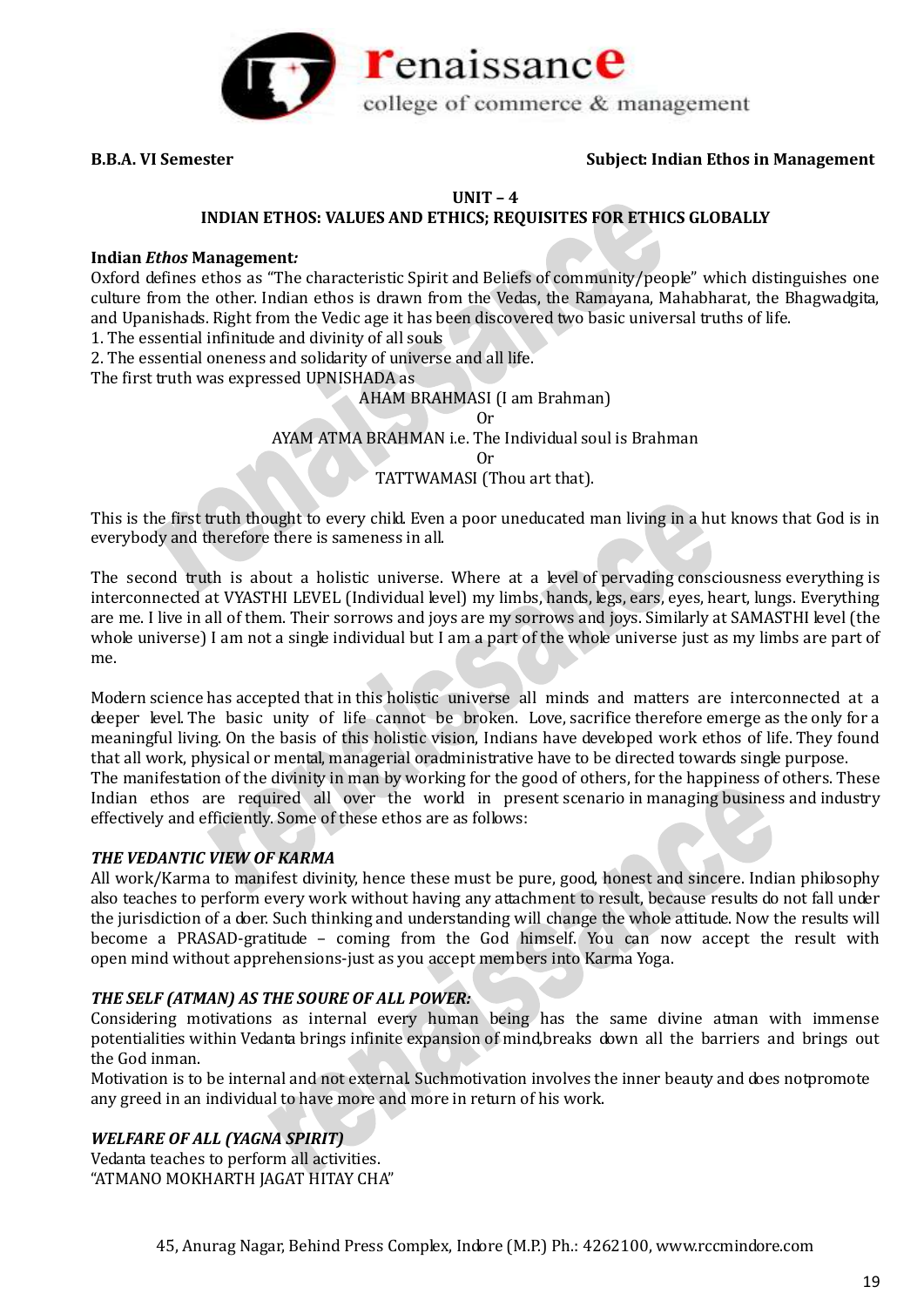

#### **UNIT – 4**

## **INDIAN ETHOS: VALUES AND ETHICS; REQUISITES FOR ETHICS GLOBALLY**

#### **Indian** *Ethos* **Management***:*

Oxford defines ethos as "The characteristic Spirit and Beliefs of community/people" which distinguishes one culture from the other. Indian ethos is drawn from the Vedas, the Ramayana, Mahabharat, the Bhagwadgita, and Upanishads. Right from the Vedic age it has been discovered two basic universal truths of life.

1. The essential infinitude and divinity of all souls

2. The essential oneness and solidarity of universe and all life.

The first truth was expressed UPNISHADA as

#### AHAM BRAHMASI (I am Brahman)

Or

AYAM ATMA BRAHMAN i.e. The Individual soul is Brahman

Or

TATTWAMASI (Thou art that).

This is the first truth thought to every child. Even a poor uneducated man living in a hut knows that God is in everybody and therefore there is sameness in all.

The second truth is about a holistic universe. Where at a level of pervading consciousness everything is interconnected at VYASTHI LEVEL (Individual level) my limbs, hands, legs, ears, eyes, heart, lungs. Everything are me. I live in all of them. Their sorrows and joys are my sorrows and joys. Similarly at SAMASTHI level (the whole universe) I am not a single individual but I am a part of the whole universe just as my limbs are part of me.

Modern science has accepted that in this holistic universe all minds and matters are interconnected at a deeper level. The basic unity of life cannot be broken. Love, sacrifice therefore emerge as the only for a meaningful living. On the basis of this holistic vision, Indians have developed work ethos of life. They found that all work, physical or mental, managerial oradministrative have to be directed towards single purpose. The manifestation of the divinity in man by working for the good of others, for the happiness of others. These Indian ethos are required all over the world in present scenario in managing business and industry effectively and efficiently. Some of these ethos are as follows:

#### *THE VEDANTIC VIEW OF KARMA*

All work/Karma to manifest divinity, hence these must be pure, good, honest and sincere. Indian philosophy also teaches to perform every work without having any attachment to result, because results do not fall under the jurisdiction of a doer. Such thinking and understanding will change the whole attitude. Now the results will become a PRASAD-gratitude – coming from the God himself. You can now accept the result with open mind without apprehensions-just as you accept members into Karma Yoga.

#### *THE SELF (ATMAN) AS THE SOURE OF ALL POWER:*

Considering motivations as internal every human being has the same divine atman with immense potentialities within Vedanta brings infinite expansion of mind,breaks down all the barriers and brings out the God inman.

Motivation is to be internal and not external. Suchmotivation involves the inner beauty and does notpromote any greed in an individual to have more and more in return of his work.

#### *WELFARE OF ALL (YAGNA SPIRIT)*

Vedanta teaches to perform all activities. "ATMANO MOKHARTH JAGAT HITAY CHA"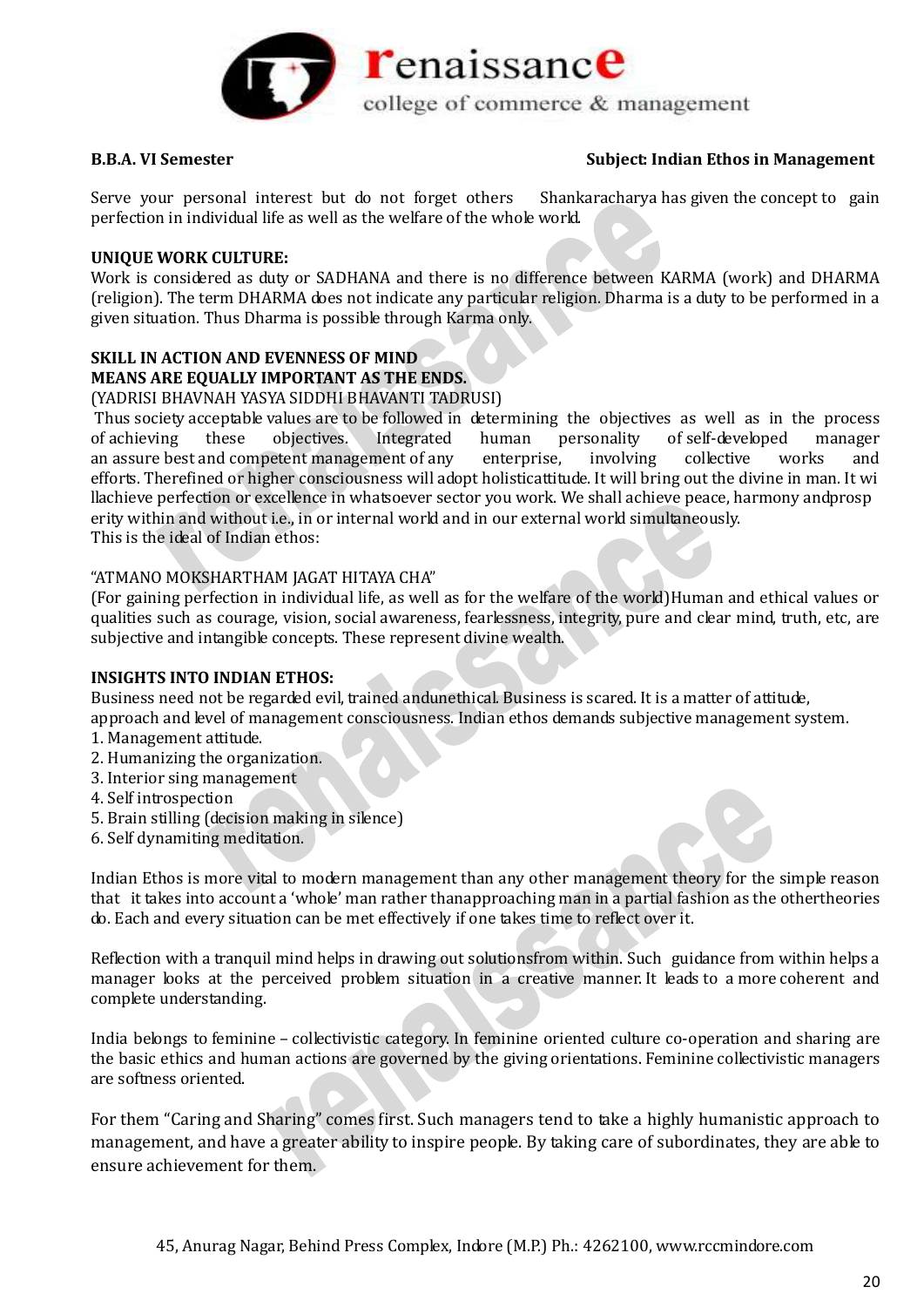

Serve your personal interest but do not forget others Shankaracharya has given the concept to gain perfection in individual life as well as the welfare of the whole world.

### **UNIQUE WORK CULTURE:**

Work is considered as duty or SADHANA and there is no difference between KARMA (work) and DHARMA (religion). The term DHARMA does not indicate any particular religion. Dharma is a duty to be performed in a given situation. Thus Dharma is possible through Karma only.

# **SKILL IN ACTION AND EVENNESS OF MIND MEANS ARE EQUALLY IMPORTANT AS THE ENDS.**

(YADRISI BHAVNAH YASYA SIDDHI BHAVANTI TADRUSI)

Thus society acceptable values are to be followed in determining the objectives as well as in the process of achieving these objectives. Integrated human personality of self-developed manager an assure best and competent management of any enterprise, involving collective works and efforts. Therefined or higher consciousness will adopt holisticattitude. It will bring out the divine in man. It wi llachieve perfection or excellence in whatsoever sector you work. We shall achieve peace, harmony andprosp erity within and without i.e., in or internal world and in our external world simultaneously. This is the ideal of Indian ethos:

### "ATMANO MOKSHARTHAM JAGAT HITAYA CHA"

(For gaining perfection in individual life, as well as for the welfare of the world)Human and ethical values or qualities such as courage, vision, social awareness, fearlessness, integrity, pure and clear mind, truth, etc, are subjective and intangible concepts. These represent divine wealth.

# **INSIGHTS INTO INDIAN ETHOS:**

Business need not be regarded evil, trained andunethical. Business is scared. It is a matter of attitude, approach and level of management consciousness. Indian ethos demands subjective management system.

- 1. Management attitude.
- 2. Humanizing the organization.
- 3. Interior sing management
- 4. Self introspection
- 5. Brain stilling (decision making in silence)
- 6. Self dynamiting meditation.

Indian Ethos is more vital to modern management than any other management theory for the simple reason that it takes into account a 'whole' man rather thanapproaching man in a partial fashion as the othertheories do. Each and every situation can be met effectively if one takes time to reflect over it.

Reflection with a tranquil mind helps in drawing out solutionsfrom within. Such guidance from within helps a manager looks at the perceived problem situation in a creative manner. It leads to a more coherent and complete understanding.

India belongs to feminine – collectivistic category. In feminine oriented culture co-operation and sharing are the basic ethics and human actions are governed by the giving orientations. Feminine collectivistic managers are softness oriented.

For them "Caring and Sharing" comes first. Such managers tend to take a highly humanistic approach to management, and have a greater ability to inspire people. By taking care of subordinates, they are able to ensure achievement for them.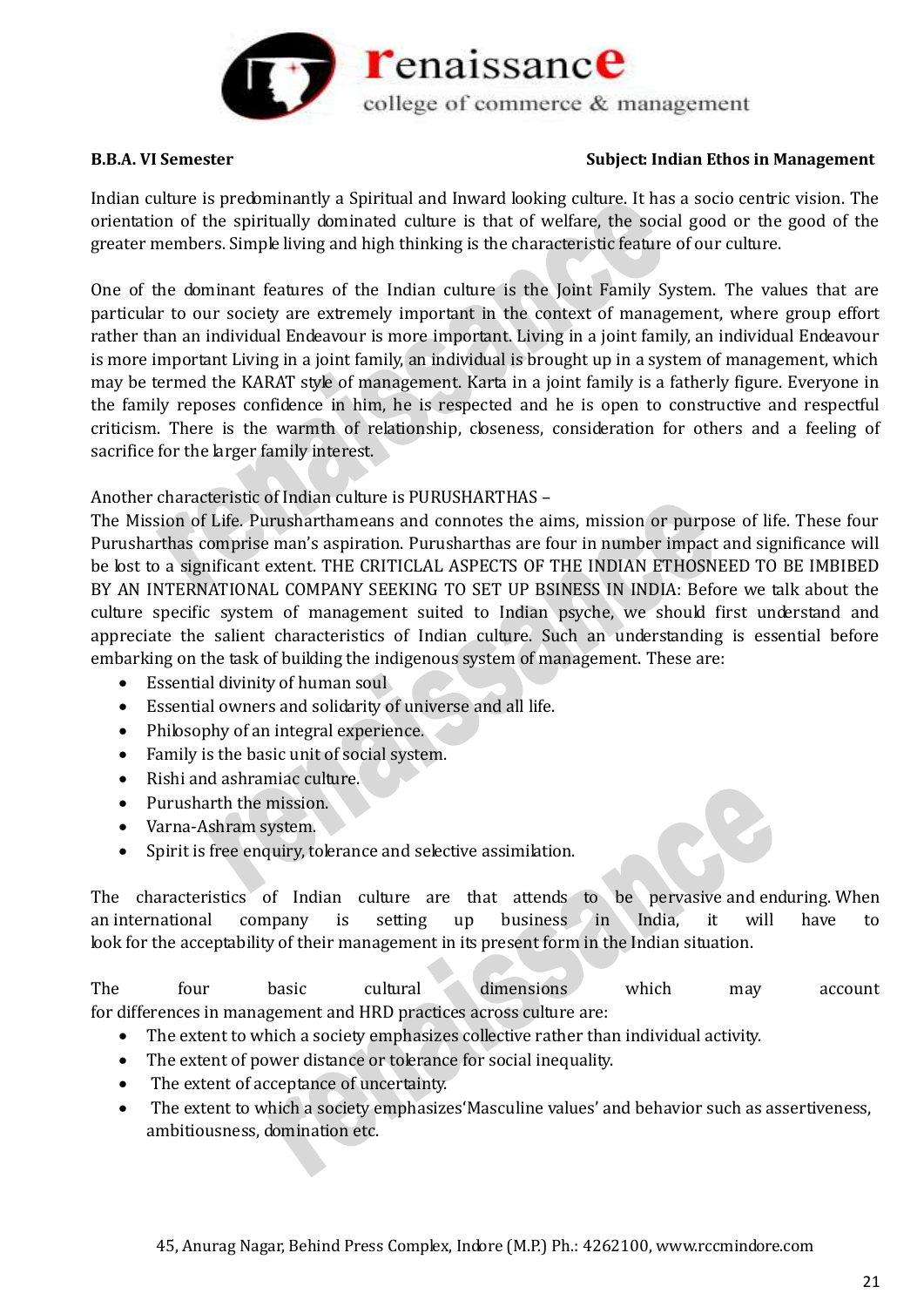

Indian culture is predominantly a Spiritual and Inward looking culture. It has a socio centric vision. The orientation of the spiritually dominated culture is that of welfare, the social good or the good of the greater members. Simple living and high thinking is the characteristic feature of our culture.

One of the dominant features of the Indian culture is the Joint Family System. The values that are particular to our society are extremely important in the context of management, where group effort rather than an individual Endeavour is more important. Living in a joint family, an individual Endeavour is more important Living in a joint family, an individual is brought up in a system of management, which may be termed the KARAT style of management. Karta in a joint family is a fatherly figure. Everyone in the family reposes confidence in him, he is respected and he is open to constructive and respectful criticism. There is the warmth of relationship, closeness, consideration for others and a feeling of sacrifice for the larger family interest.

Another characteristic of Indian culture is PURUSHARTHAS –

The Mission of Life. Purusharthameans and connotes the aims, mission or purpose of life. These four Purusharthas comprise man's aspiration. Purusharthas are four in number impact and significance will be lost to a significant extent. THE CRITICLAL ASPECTS OF THE INDIAN ETHOSNEED TO BE IMBIBED BY AN INTERNATIONAL COMPANY SEEKING TO SET UP BSINESS IN INDIA: Before we talk about the culture specific system of management suited to Indian psyche, we should first understand and appreciate the salient characteristics of Indian culture. Such an understanding is essential before embarking on the task of building the indigenous system of management. These are:

- Essential divinity of human soul
- Essential owners and solidarity of universe and all life.
- Philosophy of an integral experience.
- Family is the basic unit of social system.
- Rishi and ashramiac culture.
- Purusharth the mission.
- Varna-Ashram system.
- Spirit is free enquiry, tolerance and selective assimilation.

The characteristics of Indian culture are that attends to be pervasive and enduring. When an international company is setting up business in India, it will have to look for the acceptability of their management in its present form in the Indian situation.

The four basic cultural dimensions which may account for differences in management and HRD practices across culture are:

- The extent to which a society emphasizes collective rather than individual activity.
- The extent of power distance or tolerance for social inequality.
- The extent of acceptance of uncertainty.
- The extent to which a society emphasizes'Masculine values' and behavior such as assertiveness, ambitiousness, domination etc.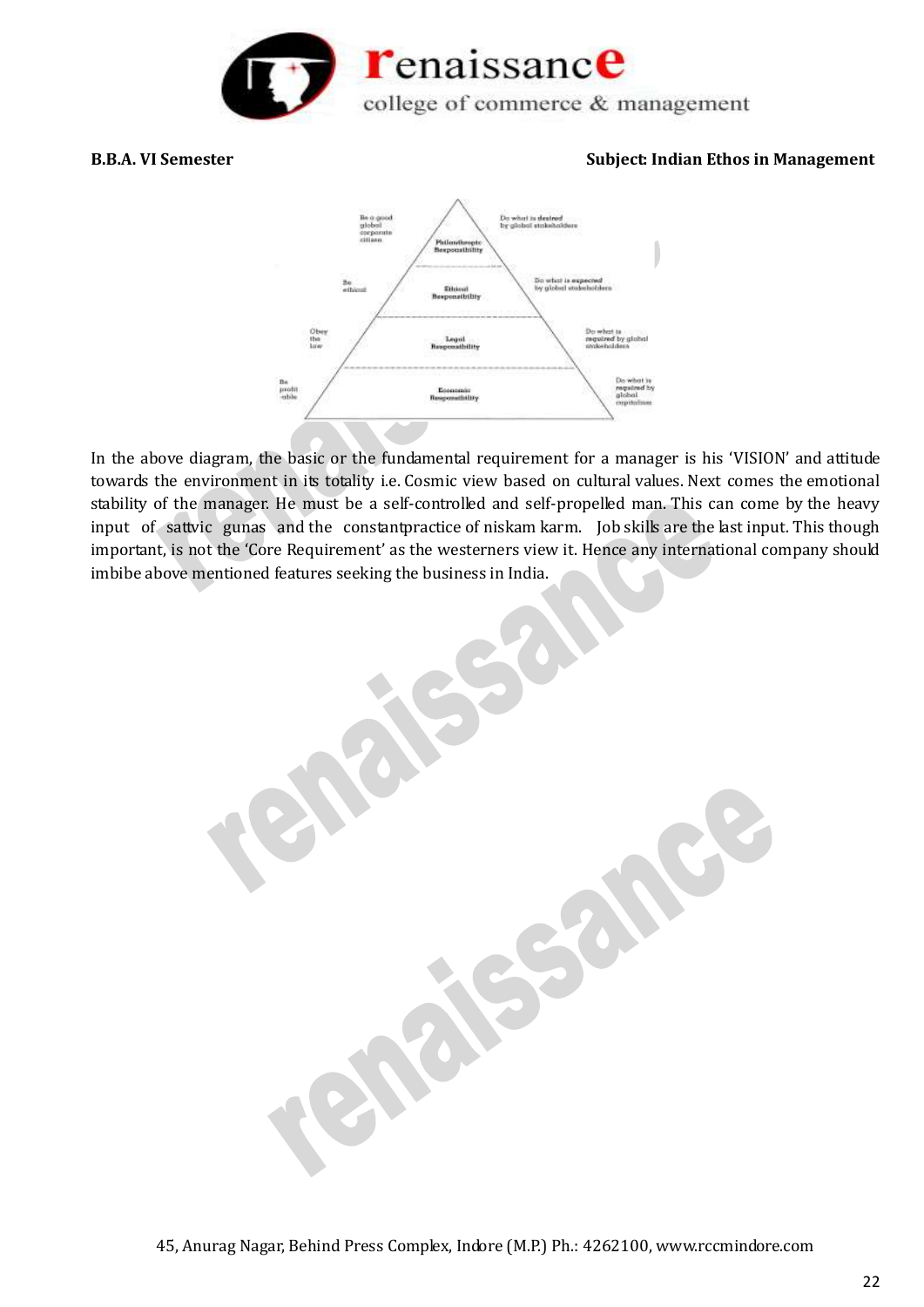



In the above diagram, the basic or the fundamental requirement for a manager is his 'VISION' and attitude towards the environment in its totality i.e. Cosmic view based on cultural values. Next comes the emotional stability of the manager. He must be a self-controlled and self-propelled man. This can come by the heavy input of sattvic gunas and the constantpractice of niskam karm. Job skills are the last input. This though important, is not the 'Core Requirement' as the westerners view it. Hence any international company should imbibe above mentioned features seeking the business in India.

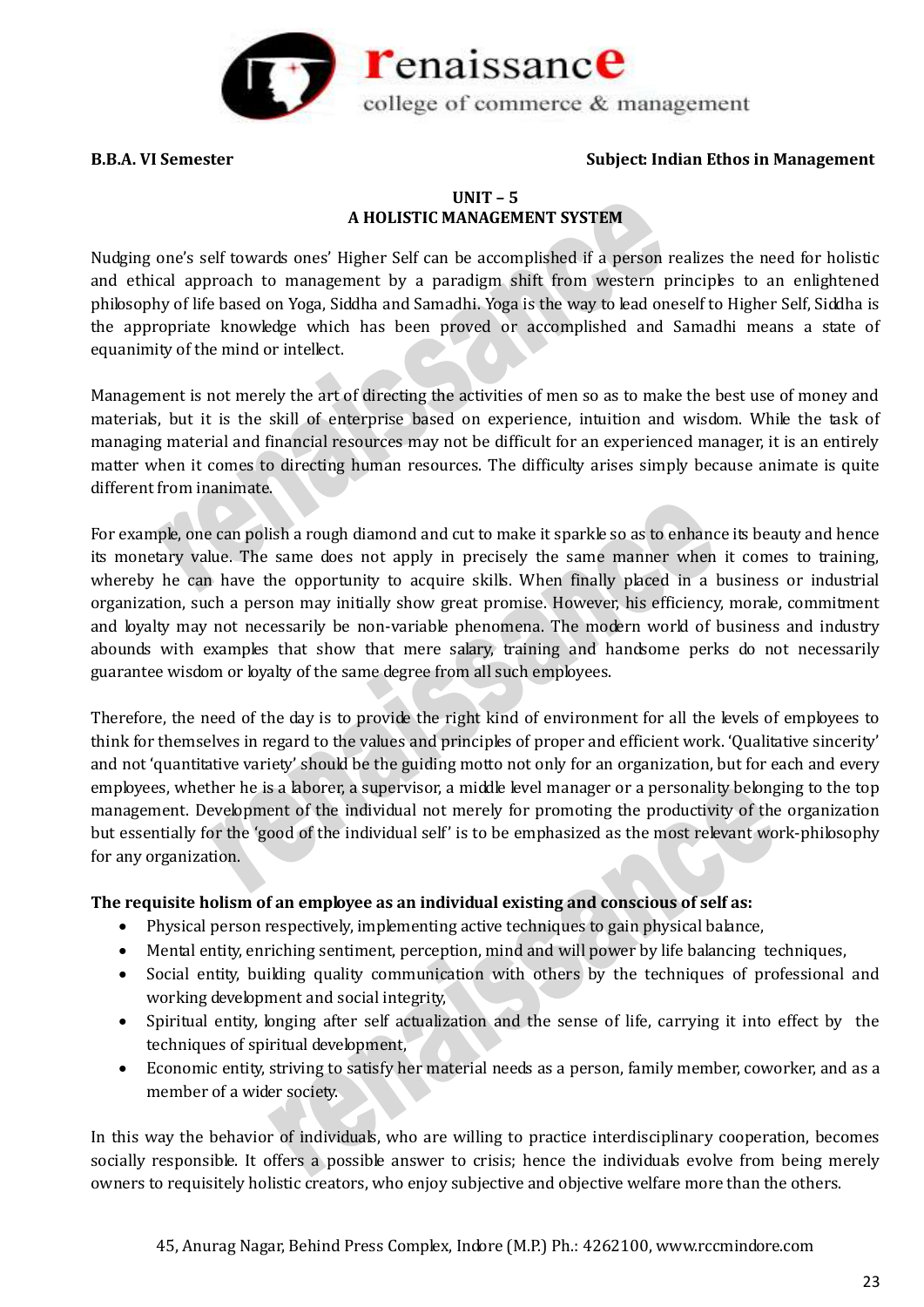

# **UNIT – 5 A HOLISTIC MANAGEMENT SYSTEM**

Nudging one's self towards ones' Higher Self can be accomplished if a person realizes the need for holistic and ethical approach to management by a paradigm shift from western principles to an enlightened philosophy of life based on Yoga, Siddha and Samadhi. Yoga is the way to lead oneself to Higher Self, Siddha is the appropriate knowledge which has been proved or accomplished and Samadhi means a state of equanimity of the mind or intellect.

Management is not merely the art of directing the activities of men so as to make the best use of money and materials, but it is the skill of enterprise based on experience, intuition and wisdom. While the task of managing material and financial resources may not be difficult for an experienced manager, it is an entirely matter when it comes to directing human resources. The difficulty arises simply because animate is quite different from inanimate.

For example, one can polish a rough diamond and cut to make it sparkle so as to enhance its beauty and hence its monetary value. The same does not apply in precisely the same manner when it comes to training, whereby he can have the opportunity to acquire skills. When finally placed in a business or industrial organization, such a person may initially show great promise. However, his efficiency, morale, commitment and loyalty may not necessarily be non-variable phenomena. The modern world of business and industry abounds with examples that show that mere salary, training and handsome perks do not necessarily guarantee wisdom or loyalty of the same degree from all such employees.

Therefore, the need of the day is to provide the right kind of environment for all the levels of employees to think for themselves in regard to the values and principles of proper and efficient work. 'Qualitative sincerity' and not 'quantitative variety' should be the guiding motto not only for an organization, but for each and every employees, whether he is a laborer, a supervisor, a middle level manager or a personality belonging to the top management. Development of the individual not merely for promoting the productivity of the organization but essentially for the 'good of the individual self' is to be emphasized as the most relevant work-philosophy for any organization.

# **The requisite holism of an employee as an individual existing and conscious of self as:**

- Physical person respectively, implementing active techniques to gain physical balance,
- Mental entity, enriching sentiment, perception, mind and will power by life balancing techniques,
- Social entity, building quality communication with others by the techniques of professional and working development and social integrity,
- Spiritual entity, longing after self actualization and the sense of life, carrying it into effect by the techniques of spiritual development,
- Economic entity, striving to satisfy her material needs as a person, family member, coworker, and as a member of a wider society.

In this way the behavior of individuals, who are willing to practice interdisciplinary cooperation, becomes socially responsible. It offers a possible answer to crisis; hence the individuals evolve from being merely owners to requisitely holistic creators, who enjoy subjective and objective welfare more than the others.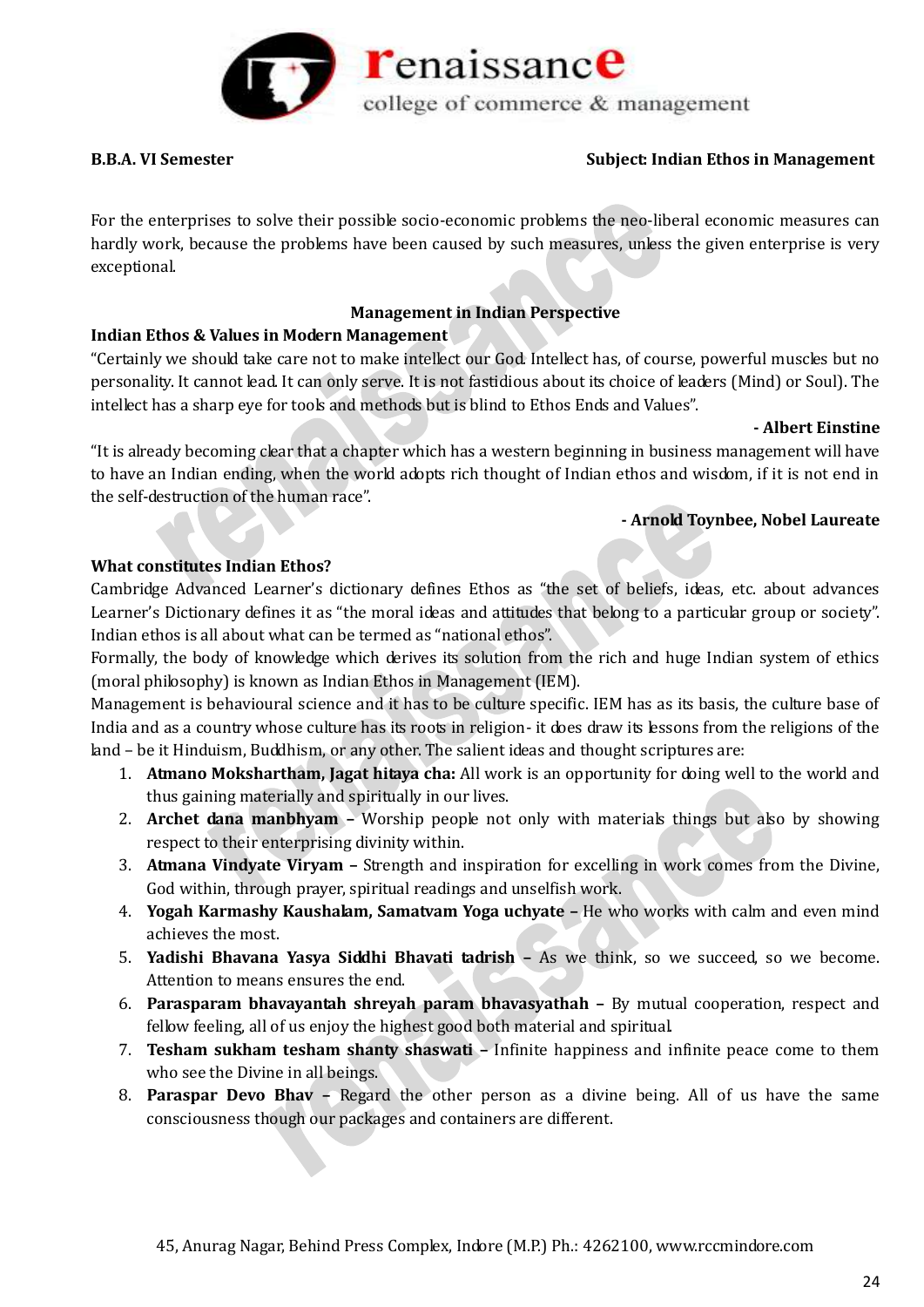

For the enterprises to solve their possible socio-economic problems the neo-liberal economic measures can hardly work, because the problems have been caused by such measures, unless the given enterprise is very exceptional.

# **Management in Indian Perspective**

# **Indian Ethos & Values in Modern Management**

"Certainly we should take care not to make intellect our God. Intellect has, of course, powerful muscles but no personality. It cannot lead. It can only serve. It is not fastidious about its choice of leaders (Mind) or Soul). The intellect has a sharp eye for tools and methods but is blind to Ethos Ends and Values".

### **- Albert Einstine**

"It is already becoming clear that a chapter which has a western beginning in business management will have to have an Indian ending, when the world adopts rich thought of Indian ethos and wisdom, if it is not end in the self-destruction of the human race".

# **- Arnold Toynbee, Nobel Laureate**

# **What constitutes Indian Ethos?**

Cambridge Advanced Learner's dictionary defines Ethos as "the set of beliefs, ideas, etc. about advances Learner's Dictionary defines it as "the moral ideas and attitudes that belong to a particular group or society". Indian ethos is all about what can be termed as "national ethos".

Formally, the body of knowledge which derives its solution from the rich and huge Indian system of ethics (moral philosophy) is known as Indian Ethos in Management (IEM).

Management is behavioural science and it has to be culture specific. IEM has as its basis, the culture base of India and as a country whose culture has its roots in religion- it does draw its lessons from the religions of the land – be it Hinduism, Buddhism, or any other. The salient ideas and thought scriptures are:

- 1. **Atmano Mokshartham, Jagat hitaya cha:** All work is an opportunity for doing well to the world and thus gaining materially and spiritually in our lives.
- 2. **Archet dana manbhyam –** Worship people not only with materials things but also by showing respect to their enterprising divinity within.
- 3. **Atmana Vindyate Viryam –** Strength and inspiration for excelling in work comes from the Divine, God within, through prayer, spiritual readings and unselfish work.
- 4. **Yogah Karmashy Kaushalam, Samatvam Yoga uchyate –** He who works with calm and even mind achieves the most.
- 5. **Yadishi Bhavana Yasya Siddhi Bhavati tadrish –** As we think, so we succeed, so we become. Attention to means ensures the end.
- 6. **Parasparam bhavayantah shreyah param bhavasyathah –** By mutual cooperation, respect and fellow feeling, all of us enjoy the highest good both material and spiritual.
- 7. **Tesham sukham tesham shanty shaswati –** Infinite happiness and infinite peace come to them who see the Divine in all beings.
- 8. **Paraspar Devo Bhav –** Regard the other person as a divine being. All of us have the same consciousness though our packages and containers are different.